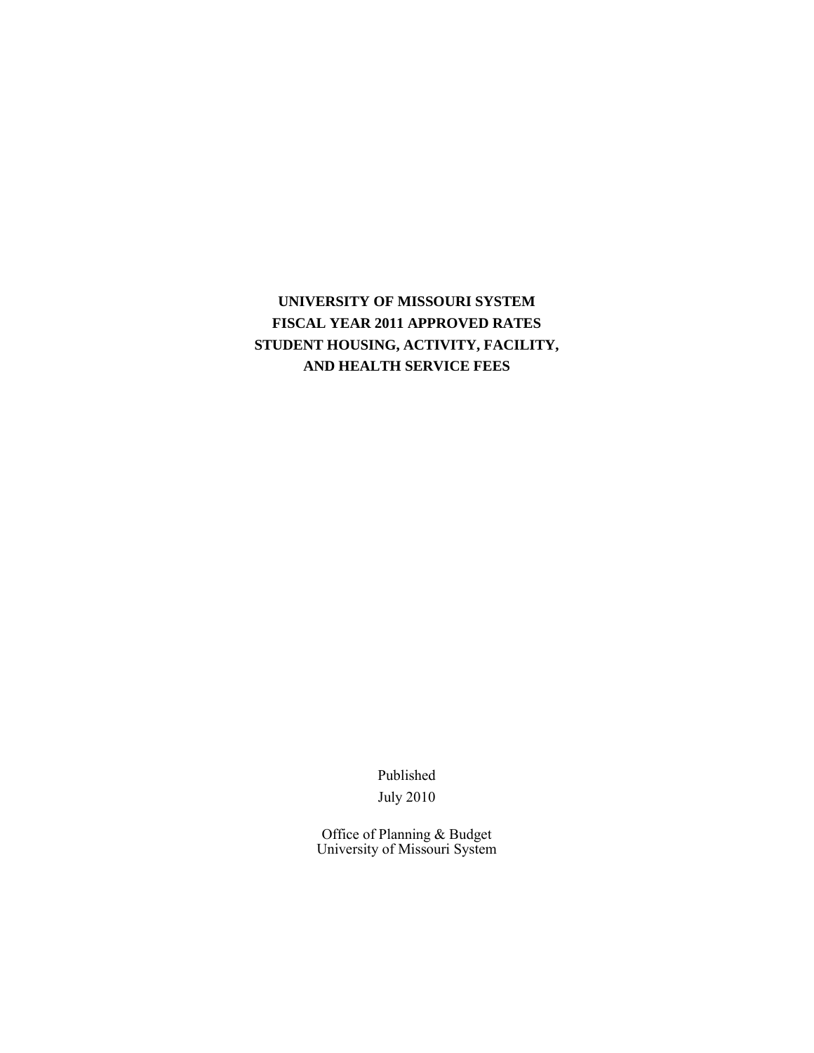# **UNIVERSITY OF MISSOURI SYSTEM FISCAL YEAR 2011 APPROVED RATES STUDENT HOUSING, ACTIVITY, FACILITY, AND HEALTH SERVICE FEES**

Published July 2010

Office of Planning & Budget University of Missouri System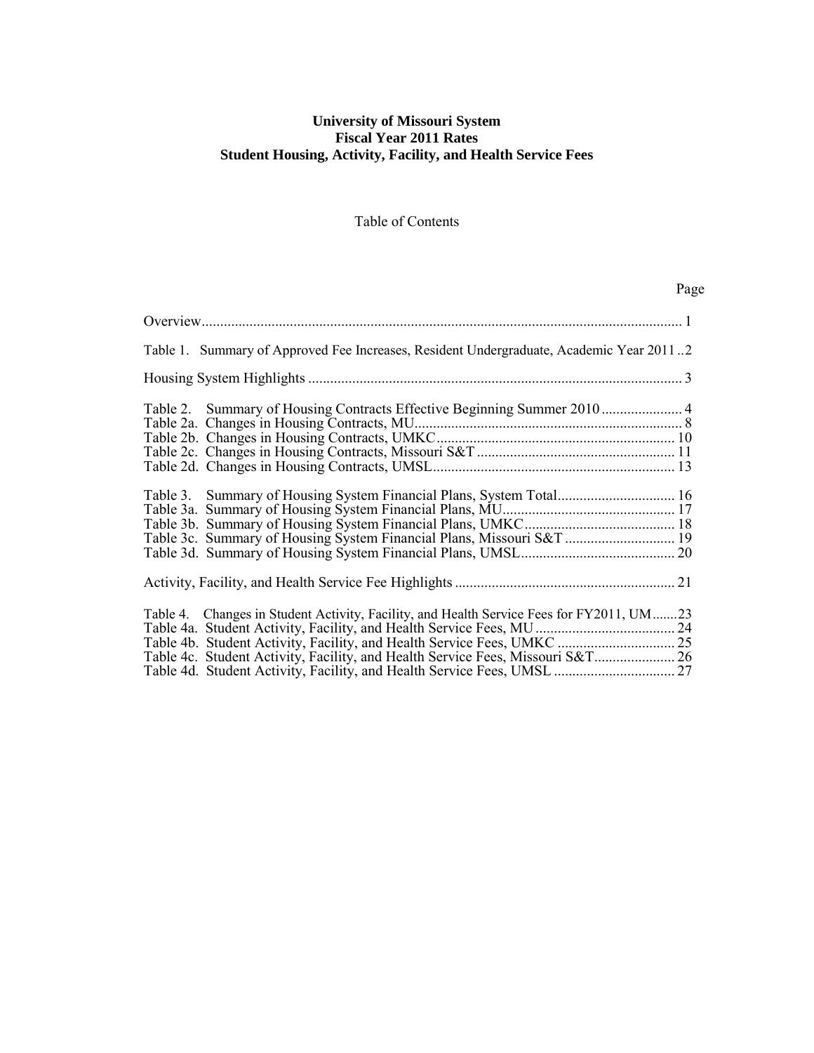## **University of Missouri System Fiscal Year 2011 Rates Student Housing, Activity, Facility, and Health Service Fees**

# Table of Contents

# Page

| Table 1. Summary of Approved Fee Increases, Resident Undergraduate, Academic Year 20112                                                                                    |  |
|----------------------------------------------------------------------------------------------------------------------------------------------------------------------------|--|
|                                                                                                                                                                            |  |
| Table 2. Summary of Housing Contracts Effective Beginning Summer 2010  4                                                                                                   |  |
| Table 3c. Summary of Housing System Financial Plans, Missouri S&T  19                                                                                                      |  |
|                                                                                                                                                                            |  |
| Table 4. Changes in Student Activity, Facility, and Health Service Fees for FY2011, UM23<br>Table 4c. Student Activity, Facility, and Health Service Fees, Missouri S&T 26 |  |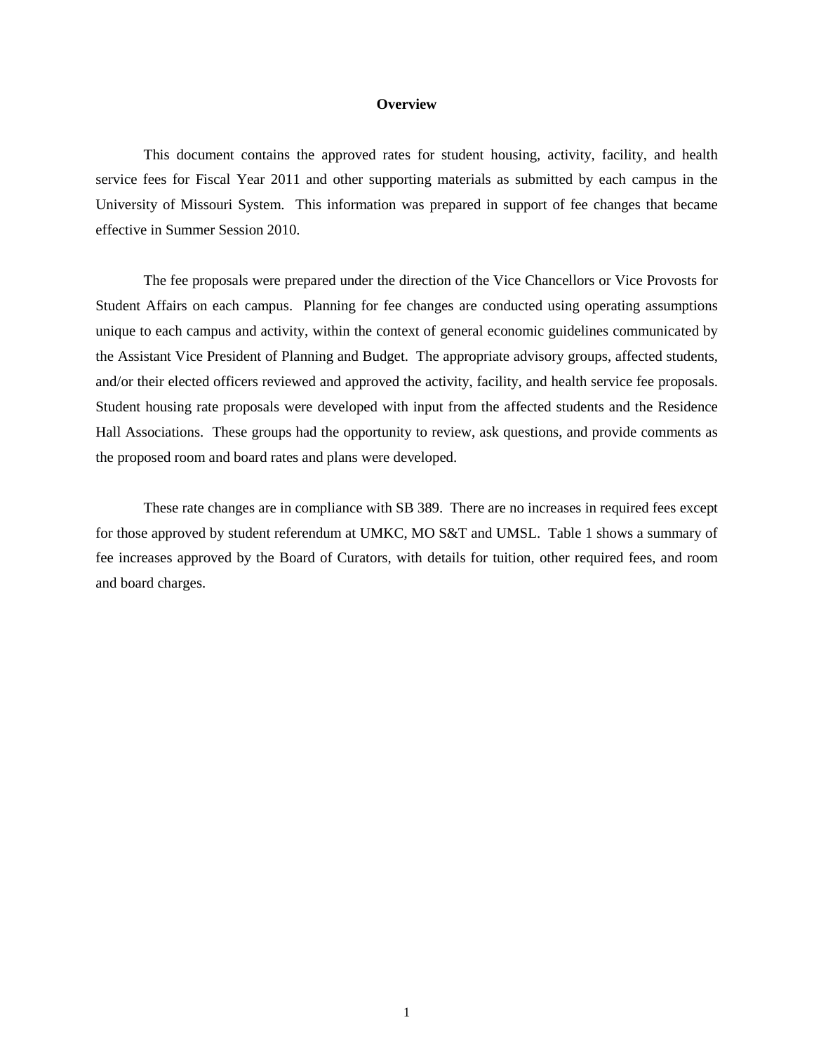#### **Overview**

This document contains the approved rates for student housing, activity, facility, and health service fees for Fiscal Year 2011 and other supporting materials as submitted by each campus in the University of Missouri System. This information was prepared in support of fee changes that became effective in Summer Session 2010.

The fee proposals were prepared under the direction of the Vice Chancellors or Vice Provosts for Student Affairs on each campus. Planning for fee changes are conducted using operating assumptions unique to each campus and activity, within the context of general economic guidelines communicated by the Assistant Vice President of Planning and Budget. The appropriate advisory groups, affected students, and/or their elected officers reviewed and approved the activity, facility, and health service fee proposals. Student housing rate proposals were developed with input from the affected students and the Residence Hall Associations. These groups had the opportunity to review, ask questions, and provide comments as the proposed room and board rates and plans were developed.

These rate changes are in compliance with SB 389. There are no increases in required fees except for those approved by student referendum at UMKC, MO S&T and UMSL. Table 1 shows a summary of fee increases approved by the Board of Curators, with details for tuition, other required fees, and room and board charges.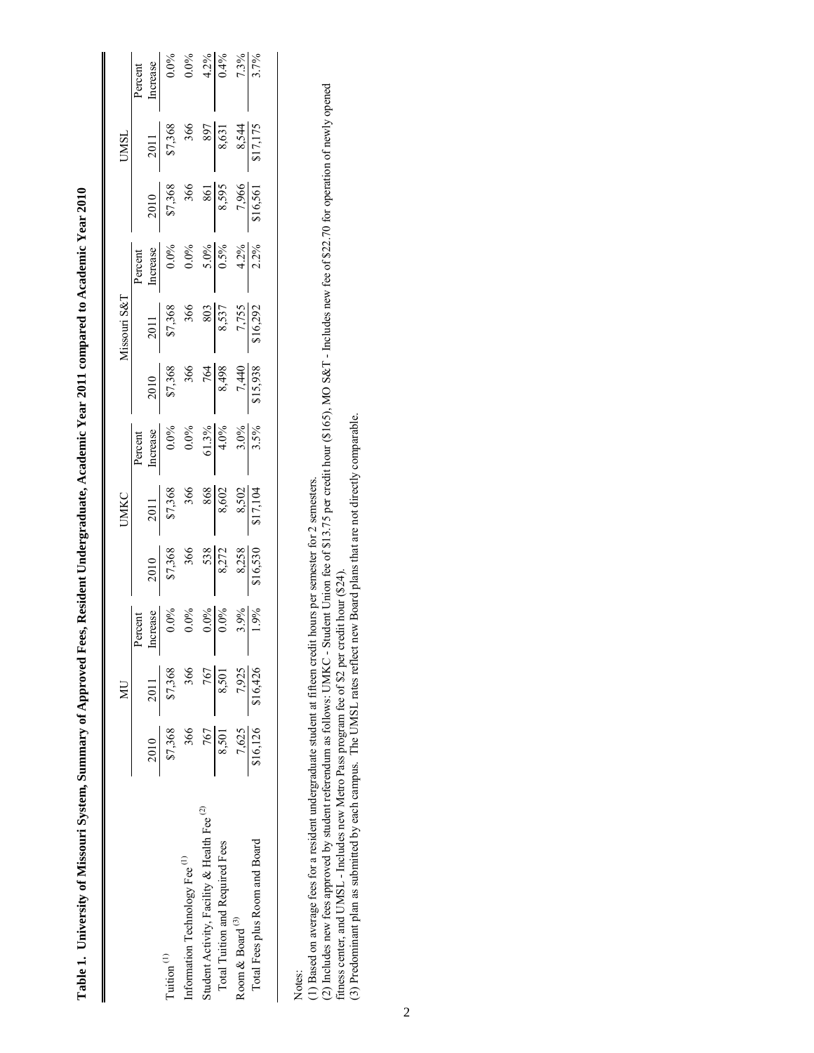|                                                        |                        | $\overline{\mathbb{R}}$ |                                                                                                                                   |                                                                                                                          | <b>UMKC</b>                                                                                                                                                                                                                                                                                                                                       |                                                              |                                                                                                                                                            | Missouri S& <sub>1</sub>                                                                                                         |                                                                                                                                                   |                                                                                                                                                          | <b>TSWN</b>                                                                               |                                                                                 |
|--------------------------------------------------------|------------------------|-------------------------|-----------------------------------------------------------------------------------------------------------------------------------|--------------------------------------------------------------------------------------------------------------------------|---------------------------------------------------------------------------------------------------------------------------------------------------------------------------------------------------------------------------------------------------------------------------------------------------------------------------------------------------|--------------------------------------------------------------|------------------------------------------------------------------------------------------------------------------------------------------------------------|----------------------------------------------------------------------------------------------------------------------------------|---------------------------------------------------------------------------------------------------------------------------------------------------|----------------------------------------------------------------------------------------------------------------------------------------------------------|-------------------------------------------------------------------------------------------|---------------------------------------------------------------------------------|
|                                                        |                        |                         | Percent<br>티                                                                                                                      |                                                                                                                          |                                                                                                                                                                                                                                                                                                                                                   | Percent<br>Increase<br>0.0%<br>0.0%<br>61.3%<br>4.0%<br>3.5% |                                                                                                                                                            |                                                                                                                                  | Percent<br>Increase<br>$\frac{0.0\%}{0.0\%}\n \begin{array}{r}\n 0.0\% \\  0.5\% \\  \hline\n 0.5\% \\  0.5\% \\  \hline\n 0.2\% \\  \end{array}$ |                                                                                                                                                          |                                                                                           | Percent<br>Increase<br>$\frac{0.0\%}{0.0\%}\n 0.0\%$<br>$\frac{4.2\%}{0.4\%}\n$ |
| Tuition <sup>(1)</sup>                                 | $\frac{2010}{\$7,368}$ | $\frac{2011}{\$7,368}$  | $\begin{array}{r l} \text{arcass} \\ \hline 0.0\% & 0.0\% \\ 0.0\% & 0.0\% \\ \hline 0.0\% & 3.9\% \\ \hline 1.9\% & \end{array}$ | $\begin{array}{r l} 2010 \\ \hline 87,368 \\ 366 \\ 366 \\ \hline 8,272 \\ 8,258 \\ 8,258 \\ \hline 816,530 \end{array}$ | $\begin{array}{r l}\n & 2011 \\  & 87,368 \\  & 366 \\  & 868 \\  & 8,602 \\  & 8,502 \\  & 8,502 \\  & 8,502 \\  & 8,702 \\  & 8,702 \\  & 8,802 \\  & 8,702 \\  & 8,802 \\  & 8,902 \\  & 8,902 \\  & 8,902 \\  & 8,902 \\  & 8,902 \\  & 8,902 \\  & 8,902 \\  & 8,902 \\  & 8,902 \\  & 8,902 \\  & 8,902 \\  & 8,902 \\  & 8,902 \\  & 8,90$ |                                                              | $\begin{array}{r} 2010 \\ \hline 87,368 \\ 366 \\ \hline 764 \\ \hline 8,498 \\ \hline 1440 \\ \hline 1,440 \\ \hline 1,440 \\ \hline 1,5,938 \end{array}$ | $\begin{array}{r} 2011 \\ \hline 87,368 \\ 366 \\ 8,537 \\ \hline 8,537 \\ 7,755 \\ \hline 1,555 \\ 7,755 \\ \hline \end{array}$ |                                                                                                                                                   | $\begin{array}{r}\n 2010 \\  \hline\n 87,368 \\  \hline\n 366 \\  \hline\n 8,595 \\  \hline\n 7,966 \\  \hline\n 7,966 \\  \hline\n 7,966\n \end{array}$ | $\begin{array}{r} 2011 \\ 87,368 \\ 366 \\ 897 \\ 8,631 \\ 8,544 \\ 8,17,175 \end{array}$ |                                                                                 |
| Information Technology Fee <sup>(1)</sup>              | 366                    | 366                     |                                                                                                                                   |                                                                                                                          |                                                                                                                                                                                                                                                                                                                                                   |                                                              |                                                                                                                                                            |                                                                                                                                  |                                                                                                                                                   |                                                                                                                                                          |                                                                                           |                                                                                 |
| Student Activity, Facility & Health Fee <sup>(2)</sup> | 767                    | 767                     |                                                                                                                                   |                                                                                                                          |                                                                                                                                                                                                                                                                                                                                                   |                                                              |                                                                                                                                                            |                                                                                                                                  |                                                                                                                                                   |                                                                                                                                                          |                                                                                           |                                                                                 |
| Total Tuition and Required Fees                        | 8,501                  | 8,501                   |                                                                                                                                   |                                                                                                                          |                                                                                                                                                                                                                                                                                                                                                   |                                                              |                                                                                                                                                            |                                                                                                                                  |                                                                                                                                                   |                                                                                                                                                          |                                                                                           |                                                                                 |
| Room & Board $^{\left( 3\right) }$                     |                        |                         |                                                                                                                                   |                                                                                                                          |                                                                                                                                                                                                                                                                                                                                                   |                                                              |                                                                                                                                                            |                                                                                                                                  |                                                                                                                                                   |                                                                                                                                                          |                                                                                           |                                                                                 |
| Total Fees plus Room and Board                         | 7,625<br>\$16,126      | 7,925<br>\$16,426       |                                                                                                                                   |                                                                                                                          |                                                                                                                                                                                                                                                                                                                                                   |                                                              |                                                                                                                                                            |                                                                                                                                  |                                                                                                                                                   |                                                                                                                                                          |                                                                                           |                                                                                 |
|                                                        |                        |                         |                                                                                                                                   |                                                                                                                          |                                                                                                                                                                                                                                                                                                                                                   |                                                              |                                                                                                                                                            |                                                                                                                                  |                                                                                                                                                   |                                                                                                                                                          |                                                                                           |                                                                                 |

Table 1. University of Missouri System, Summary of Approved Fees, Resident Undergraduate, Academic Year 2011 compared to Academic Year 2010 **Table 1. University of Missouri System, Summary of Approved Fees, Resident Undergraduate, Academic Year 2011 compared to Academic Year 2010**

(1) Based on average fees for a resident undergraduate student at fifteen credit hours per semester for 2 semesters.

Notes:<br>(1) Based on average fees for a resident undergraduate student at fifteen credit hours per semester for 2 semesters.<br>(2) Includes new fees approved by student referendum as follows: UMKC - Student Union fee of \$13.7 (2) Includes new fees approved by student referendum as follows: UMKC - Student Union fee of \$13.75 per credit hour (\$165), MO S&T - Includes new fee of \$22.70 for operation of newly opened fitness center, and UMSL - Includes new Metro Pass program fee of \$2 per credit hour (\$24).

(3) Predominant plan as submitted by each campus. The UMSL rates reflect new Board plans that are not directly comparable.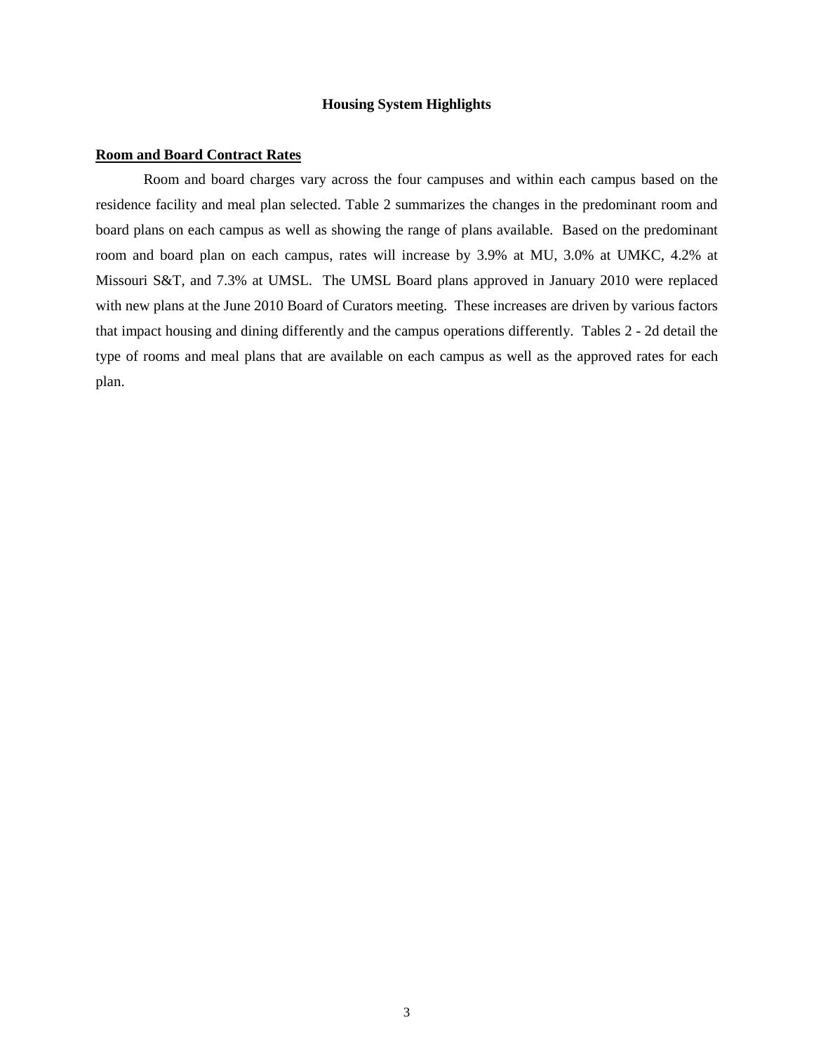### **Housing System Highlights**

### **Room and Board Contract Rates**

Room and board charges vary across the four campuses and within each campus based on the residence facility and meal plan selected. Table 2 summarizes the changes in the predominant room and board plans on each campus as well as showing the range of plans available. Based on the predominant room and board plan on each campus, rates will increase by 3.9% at MU, 3.0% at UMKC, 4.2% at Missouri S&T, and 7.3% at UMSL. The UMSL Board plans approved in January 2010 were replaced with new plans at the June 2010 Board of Curators meeting. These increases are driven by various factors that impact housing and dining differently and the campus operations differently. Tables 2 - 2d detail the type of rooms and meal plans that are available on each campus as well as the approved rates for each plan.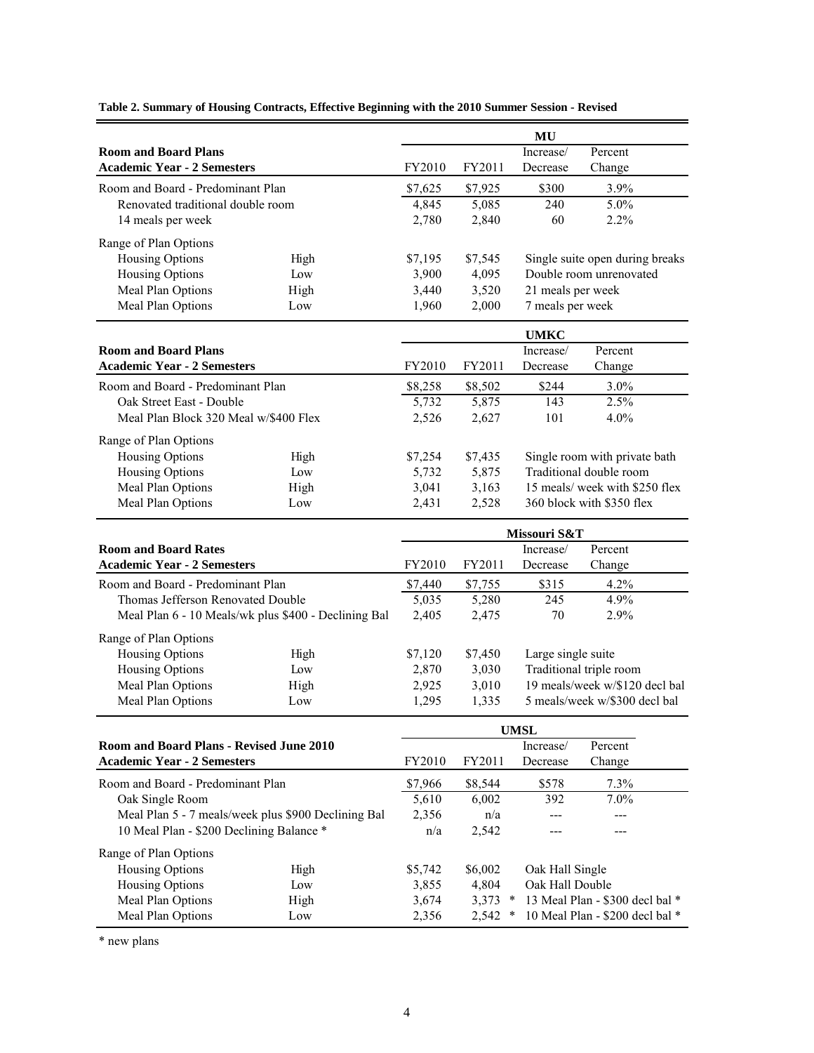|                                          |                                                      |              |           | MU                 |                                 |  |
|------------------------------------------|------------------------------------------------------|--------------|-----------|--------------------|---------------------------------|--|
| <b>Room and Board Plans</b>              |                                                      |              |           | Increase/          | Percent                         |  |
| <b>Academic Year - 2 Semesters</b>       |                                                      | FY2010       | FY2011    | Decrease           | Change                          |  |
| Room and Board - Predominant Plan        |                                                      | \$7,625      | \$7,925   | \$300              | 3.9%                            |  |
| Renovated traditional double room        |                                                      | 4,845        | 5,085     | 240                | 5.0%                            |  |
| 14 meals per week                        |                                                      | 2,780        | 2,840     | 60                 | 2.2%                            |  |
|                                          |                                                      |              |           |                    |                                 |  |
| Range of Plan Options                    |                                                      |              |           |                    |                                 |  |
| Housing Options                          | High                                                 | \$7,195      | \$7,545   |                    | Single suite open during breaks |  |
| Housing Options                          | Low                                                  | 3,900        | 4,095     |                    | Double room unrenovated         |  |
| Meal Plan Options                        | High                                                 | 3,440        | 3,520     | 21 meals per week  |                                 |  |
| Meal Plan Options                        | Low                                                  | 1,960        | 2,000     | 7 meals per week   |                                 |  |
|                                          |                                                      |              |           | <b>UMKC</b>        |                                 |  |
| <b>Room and Board Plans</b>              |                                                      |              |           | Increase/          | Percent                         |  |
| <b>Academic Year - 2 Semesters</b>       |                                                      | FY2010       | FY2011    | Decrease           | Change                          |  |
| Room and Board - Predominant Plan        |                                                      | \$8,258      | \$8,502   | \$244              | 3.0%                            |  |
| Oak Street East - Double                 |                                                      | 5,732        | 5,875     | 143                | 2.5%                            |  |
| Meal Plan Block 320 Meal w/\$400 Flex    |                                                      | 2,526        | 2,627     | 101                | 4.0%                            |  |
| Range of Plan Options                    |                                                      |              |           |                    |                                 |  |
| <b>Housing Options</b>                   | High                                                 | \$7,254      | \$7,435   |                    | Single room with private bath   |  |
| Housing Options                          | Low                                                  | 5,732        | 5,875     |                    | Traditional double room         |  |
| Meal Plan Options                        | High                                                 | 3,041        | 3,163     |                    | 15 meals/ week with \$250 flex  |  |
| Meal Plan Options                        | Low                                                  | 2,431        | 2,528     |                    | 360 block with \$350 flex       |  |
|                                          |                                                      |              |           |                    |                                 |  |
|                                          |                                                      | Missouri S&T |           |                    |                                 |  |
| <b>Room and Board Rates</b>              |                                                      |              |           | Increase/          | Percent                         |  |
| <b>Academic Year - 2 Semesters</b>       |                                                      | FY2010       | FY2011    | Decrease           | Change                          |  |
| Room and Board - Predominant Plan        |                                                      | \$7,440      | \$7,755   | \$315              | 4.2%                            |  |
| Thomas Jefferson Renovated Double        |                                                      | 5,035        | 5,280     | 245                | 4.9%                            |  |
|                                          | Meal Plan 6 - 10 Meals/wk plus \$400 - Declining Bal | 2,405        | 2,475     | 70                 | 2.9%                            |  |
| Range of Plan Options                    |                                                      |              |           |                    |                                 |  |
| Housing Options                          | High                                                 | \$7,120      | \$7,450   | Large single suite |                                 |  |
| <b>Housing Options</b>                   | Low                                                  | 2,870        | 3,030     |                    | Traditional triple room         |  |
| Meal Plan Options                        | High                                                 | 2,925        | 3,010     |                    | 19 meals/week w/\$120 decl bal  |  |
| Meal Plan Options                        | Low                                                  | 1,295        | 1,335     |                    | 5 meals/week w/\$300 decl bal   |  |
|                                          |                                                      |              |           |                    |                                 |  |
|                                          |                                                      |              |           | <b>UMSL</b>        |                                 |  |
| Room and Board Plans - Revised June 2010 |                                                      |              |           | Increase/          | Percent                         |  |
| <b>Academic Year - 2 Semesters</b>       |                                                      | FY2010       | FY2011    | Decrease           | Change                          |  |
| Room and Board - Predominant Plan        |                                                      | \$7,966      | \$8,544   | \$578              | 7.3%                            |  |
| Oak Single Room                          |                                                      | 5,610        | 6,002     | 392                | $7.0\%$                         |  |
|                                          | Meal Plan 5 - 7 meals/week plus \$900 Declining Bal  | 2,356        | n/a       |                    |                                 |  |
| 10 Meal Plan - \$200 Declining Balance * |                                                      | n/a          | 2,542     |                    |                                 |  |
| Range of Plan Options                    |                                                      |              |           |                    |                                 |  |
| Housing Options                          | High                                                 | \$5,742      | \$6,002   | Oak Hall Single    |                                 |  |
| <b>Housing Options</b>                   | Low                                                  | 3,855        | 4,804     | Oak Hall Double    |                                 |  |
| Meal Plan Options                        | High                                                 | 3,674        | $3,373$ * |                    | 13 Meal Plan - \$300 decl bal * |  |
| Meal Plan Options                        | Low                                                  | 2,356        | $2,542$ * |                    | 10 Meal Plan - \$200 decl bal * |  |

**Table 2. Summary of Housing Contracts, Effective Beginning with the 2010 Summer Session - Revised**

\* new plans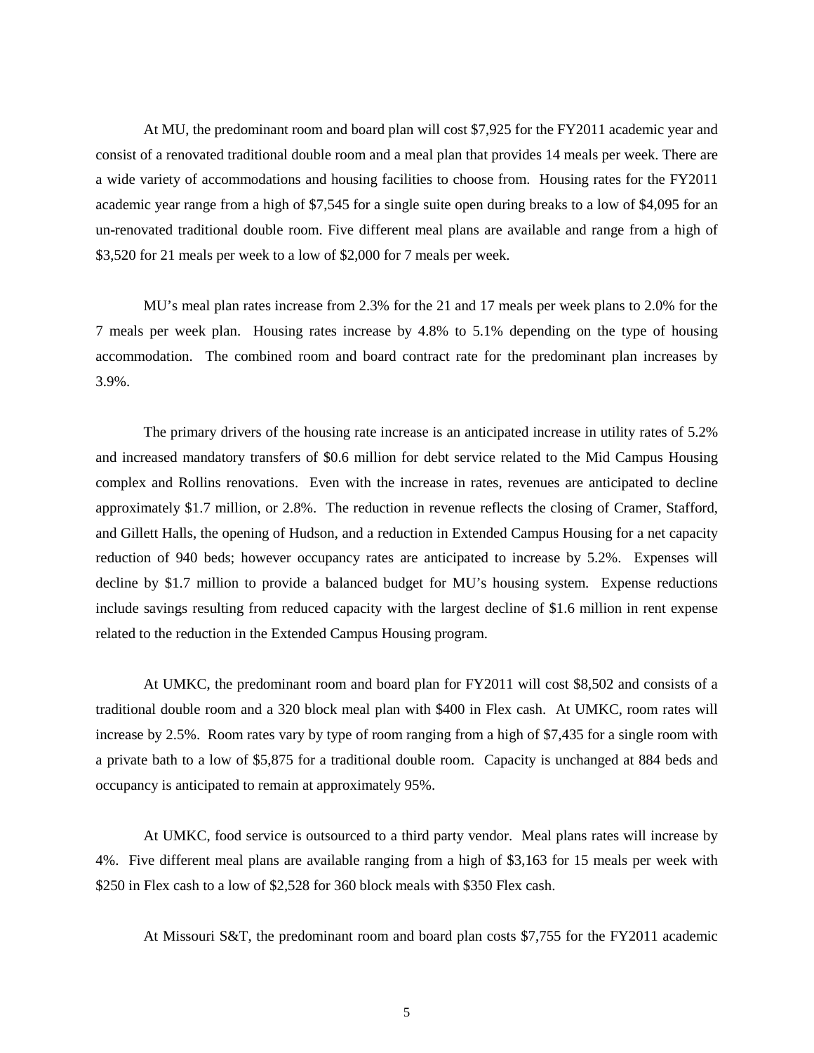At MU, the predominant room and board plan will cost \$7,925 for the FY2011 academic year and consist of a renovated traditional double room and a meal plan that provides 14 meals per week. There are a wide variety of accommodations and housing facilities to choose from. Housing rates for the FY2011 academic year range from a high of \$7,545 for a single suite open during breaks to a low of \$4,095 for an un-renovated traditional double room. Five different meal plans are available and range from a high of \$3,520 for 21 meals per week to a low of \$2,000 for 7 meals per week.

MU's meal plan rates increase from 2.3% for the 21 and 17 meals per week plans to 2.0% for the 7 meals per week plan. Housing rates increase by 4.8% to 5.1% depending on the type of housing accommodation. The combined room and board contract rate for the predominant plan increases by 3.9%.

The primary drivers of the housing rate increase is an anticipated increase in utility rates of 5.2% and increased mandatory transfers of \$0.6 million for debt service related to the Mid Campus Housing complex and Rollins renovations. Even with the increase in rates, revenues are anticipated to decline approximately \$1.7 million, or 2.8%. The reduction in revenue reflects the closing of Cramer, Stafford, and Gillett Halls, the opening of Hudson, and a reduction in Extended Campus Housing for a net capacity reduction of 940 beds; however occupancy rates are anticipated to increase by 5.2%. Expenses will decline by \$1.7 million to provide a balanced budget for MU's housing system. Expense reductions include savings resulting from reduced capacity with the largest decline of \$1.6 million in rent expense related to the reduction in the Extended Campus Housing program.

At UMKC, the predominant room and board plan for FY2011 will cost \$8,502 and consists of a traditional double room and a 320 block meal plan with \$400 in Flex cash. At UMKC, room rates will increase by 2.5%. Room rates vary by type of room ranging from a high of \$7,435 for a single room with a private bath to a low of \$5,875 for a traditional double room. Capacity is unchanged at 884 beds and occupancy is anticipated to remain at approximately 95%.

At UMKC, food service is outsourced to a third party vendor. Meal plans rates will increase by 4%. Five different meal plans are available ranging from a high of \$3,163 for 15 meals per week with \$250 in Flex cash to a low of \$2,528 for 360 block meals with \$350 Flex cash.

At Missouri S&T, the predominant room and board plan costs \$7,755 for the FY2011 academic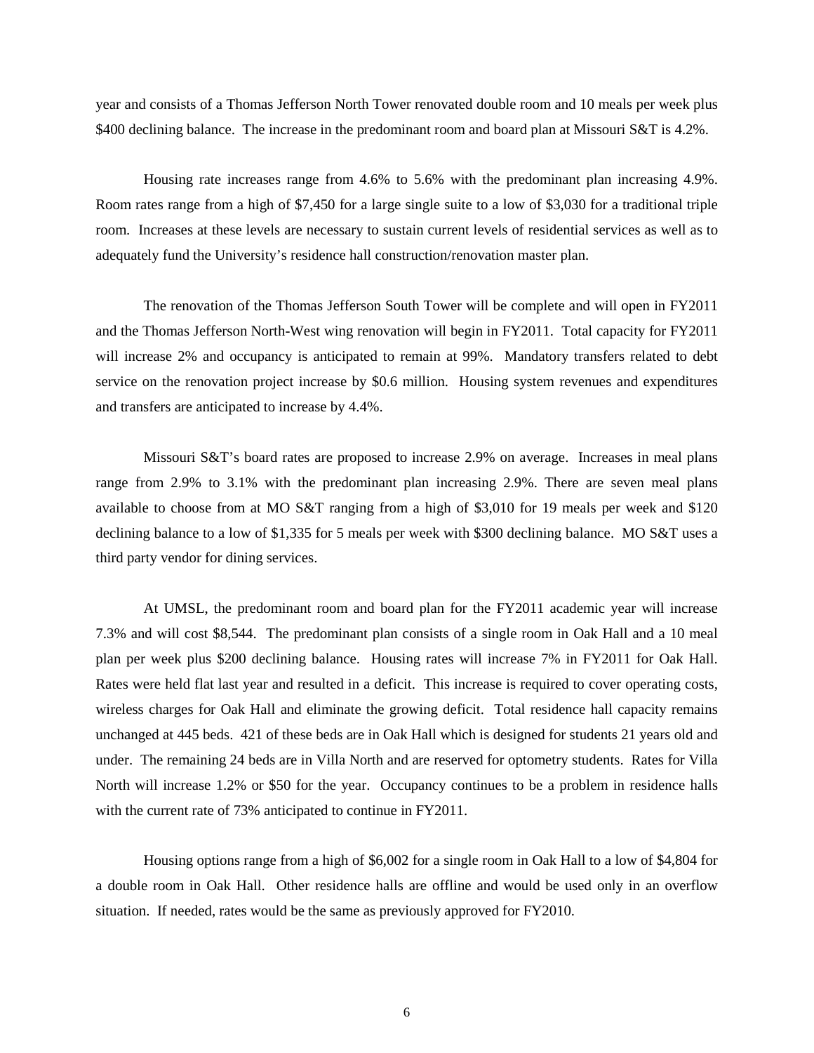year and consists of a Thomas Jefferson North Tower renovated double room and 10 meals per week plus \$400 declining balance. The increase in the predominant room and board plan at Missouri S&T is 4.2%.

Housing rate increases range from 4.6% to 5.6% with the predominant plan increasing 4.9%. Room rates range from a high of \$7,450 for a large single suite to a low of \$3,030 for a traditional triple room. Increases at these levels are necessary to sustain current levels of residential services as well as to adequately fund the University's residence hall construction/renovation master plan.

The renovation of the Thomas Jefferson South Tower will be complete and will open in FY2011 and the Thomas Jefferson North-West wing renovation will begin in FY2011. Total capacity for FY2011 will increase 2% and occupancy is anticipated to remain at 99%. Mandatory transfers related to debt service on the renovation project increase by \$0.6 million. Housing system revenues and expenditures and transfers are anticipated to increase by 4.4%.

Missouri S&T's board rates are proposed to increase 2.9% on average. Increases in meal plans range from 2.9% to 3.1% with the predominant plan increasing 2.9%. There are seven meal plans available to choose from at MO S&T ranging from a high of \$3,010 for 19 meals per week and \$120 declining balance to a low of \$1,335 for 5 meals per week with \$300 declining balance. MO S&T uses a third party vendor for dining services.

At UMSL, the predominant room and board plan for the FY2011 academic year will increase 7.3% and will cost \$8,544. The predominant plan consists of a single room in Oak Hall and a 10 meal plan per week plus \$200 declining balance. Housing rates will increase 7% in FY2011 for Oak Hall. Rates were held flat last year and resulted in a deficit. This increase is required to cover operating costs, wireless charges for Oak Hall and eliminate the growing deficit. Total residence hall capacity remains unchanged at 445 beds. 421 of these beds are in Oak Hall which is designed for students 21 years old and under. The remaining 24 beds are in Villa North and are reserved for optometry students. Rates for Villa North will increase 1.2% or \$50 for the year. Occupancy continues to be a problem in residence halls with the current rate of 73% anticipated to continue in FY2011.

 Housing options range from a high of \$6,002 for a single room in Oak Hall to a low of \$4,804 for a double room in Oak Hall. Other residence halls are offline and would be used only in an overflow situation. If needed, rates would be the same as previously approved for FY2010.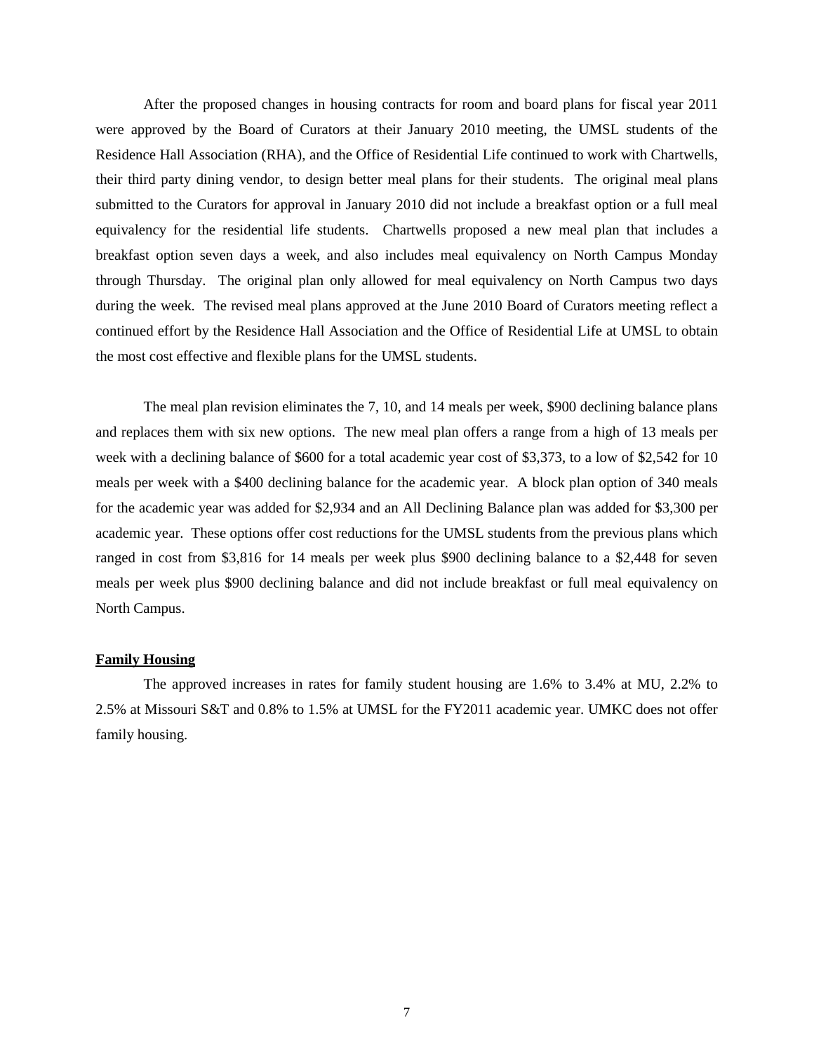After the proposed changes in housing contracts for room and board plans for fiscal year 2011 were approved by the Board of Curators at their January 2010 meeting, the UMSL students of the Residence Hall Association (RHA), and the Office of Residential Life continued to work with Chartwells, their third party dining vendor, to design better meal plans for their students. The original meal plans submitted to the Curators for approval in January 2010 did not include a breakfast option or a full meal equivalency for the residential life students. Chartwells proposed a new meal plan that includes a breakfast option seven days a week, and also includes meal equivalency on North Campus Monday through Thursday. The original plan only allowed for meal equivalency on North Campus two days during the week. The revised meal plans approved at the June 2010 Board of Curators meeting reflect a continued effort by the Residence Hall Association and the Office of Residential Life at UMSL to obtain the most cost effective and flexible plans for the UMSL students.

 The meal plan revision eliminates the 7, 10, and 14 meals per week, \$900 declining balance plans and replaces them with six new options. The new meal plan offers a range from a high of 13 meals per week with a declining balance of \$600 for a total academic year cost of \$3,373, to a low of \$2,542 for 10 meals per week with a \$400 declining balance for the academic year. A block plan option of 340 meals for the academic year was added for \$2,934 and an All Declining Balance plan was added for \$3,300 per academic year. These options offer cost reductions for the UMSL students from the previous plans which ranged in cost from \$3,816 for 14 meals per week plus \$900 declining balance to a \$2,448 for seven meals per week plus \$900 declining balance and did not include breakfast or full meal equivalency on North Campus.

### **Family Housing**

The approved increases in rates for family student housing are 1.6% to 3.4% at MU, 2.2% to 2.5% at Missouri S&T and 0.8% to 1.5% at UMSL for the FY2011 academic year. UMKC does not offer family housing.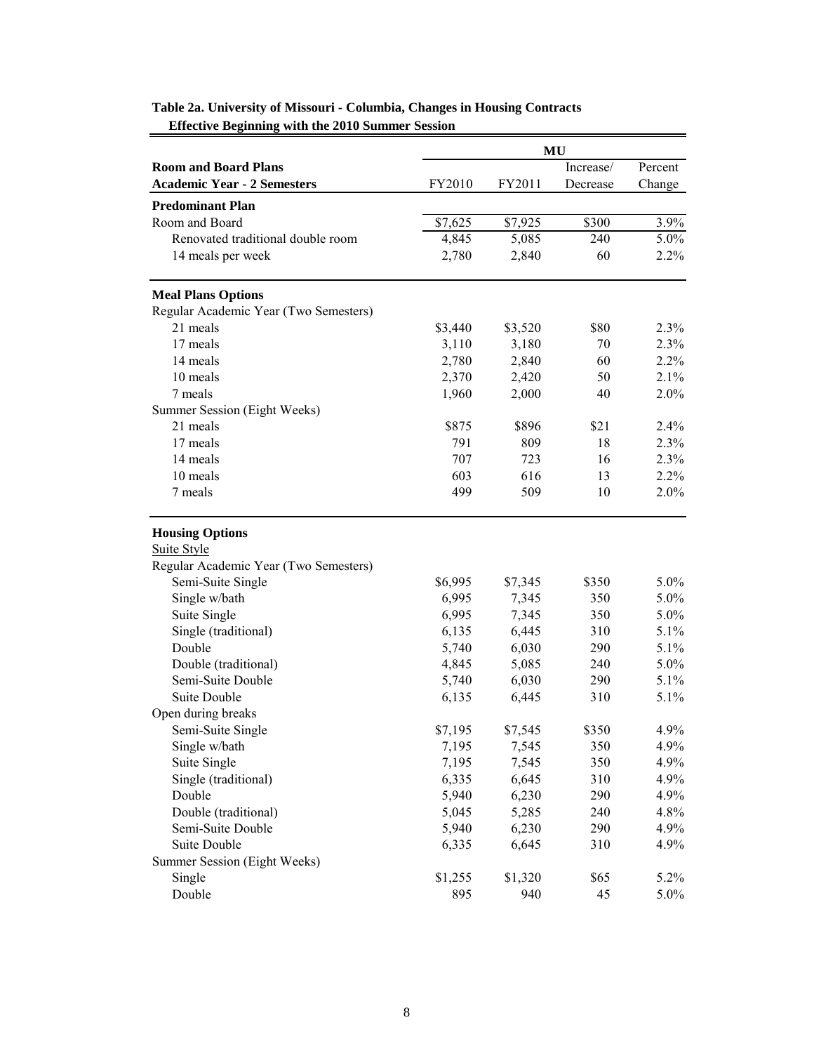|                                       |         |         | MU        |         |
|---------------------------------------|---------|---------|-----------|---------|
| <b>Room and Board Plans</b>           |         |         | Increase/ | Percent |
| <b>Academic Year - 2 Semesters</b>    | FY2010  | FY2011  | Decrease  | Change  |
| <b>Predominant Plan</b>               |         |         |           |         |
| Room and Board                        | \$7,625 | \$7,925 | \$300     | 3.9%    |
| Renovated traditional double room     | 4,845   | 5,085   | 240       | 5.0%    |
| 14 meals per week                     | 2,780   | 2,840   | 60        | 2.2%    |
|                                       |         |         |           |         |
| <b>Meal Plans Options</b>             |         |         |           |         |
| Regular Academic Year (Two Semesters) |         |         |           |         |
| 21 meals                              | \$3,440 | \$3,520 | \$80      | 2.3%    |
| 17 meals                              | 3,110   | 3,180   | 70        | 2.3%    |
| 14 meals                              | 2,780   | 2,840   | 60        | 2.2%    |
| 10 meals                              | 2,370   | 2,420   | 50        | 2.1%    |
| 7 meals                               | 1,960   | 2,000   | 40        | $2.0\%$ |
| Summer Session (Eight Weeks)          |         |         |           |         |
| 21 meals                              | \$875   | \$896   | \$21      | 2.4%    |
| 17 meals                              | 791     | 809     | 18        | 2.3%    |
| 14 meals                              | 707     | 723     | 16        | 2.3%    |
| 10 meals                              | 603     | 616     | 13        | 2.2%    |
| 7 meals                               | 499     | 509     | 10        | 2.0%    |
|                                       |         |         |           |         |
| <b>Housing Options</b>                |         |         |           |         |
| <b>Suite Style</b>                    |         |         |           |         |
| Regular Academic Year (Two Semesters) |         |         |           |         |
| Semi-Suite Single                     | \$6,995 | \$7,345 | \$350     | 5.0%    |
| Single w/bath                         | 6,995   | 7,345   | 350       | 5.0%    |
| Suite Single                          | 6,995   | 7,345   | 350       | 5.0%    |
| Single (traditional)                  | 6,135   | 6,445   | 310       | 5.1%    |
| Double                                | 5,740   | 6,030   | 290       | 5.1%    |
| Double (traditional)                  | 4,845   | 5,085   | 240       | 5.0%    |
| Semi-Suite Double                     | 5,740   | 6,030   | 290       | $5.1\%$ |
| Suite Double                          | 6,135   | 6,445   | 310       | 5.1%    |
| Open during breaks                    |         |         |           |         |
| Semi-Suite Single                     | \$7,195 | \$7,545 | \$350     | 4.9%    |
| Single w/bath                         | 7,195   | 7,545   | 350       | 4.9%    |
| Suite Single                          | 7,195   | 7,545   | 350       | 4.9%    |
| Single (traditional)                  | 6,335   | 6,645   | 310       | 4.9%    |
| Double                                | 5,940   | 6,230   | 290       | 4.9%    |
| Double (traditional)                  | 5,045   | 5,285   | 240       | 4.8%    |
| Semi-Suite Double                     | 5,940   | 6,230   | 290       | 4.9%    |
| Suite Double                          | 6,335   | 6,645   | 310       | 4.9%    |
| Summer Session (Eight Weeks)          |         |         |           |         |
| Single                                | \$1,255 | \$1,320 | \$65      | 5.2%    |
| Double                                | 895     | 940     | 45        | $5.0\%$ |

# **Table 2a. University of Missouri - Columbia, Changes in Housing Contracts Effective Beginning with the 2010 Summer Session**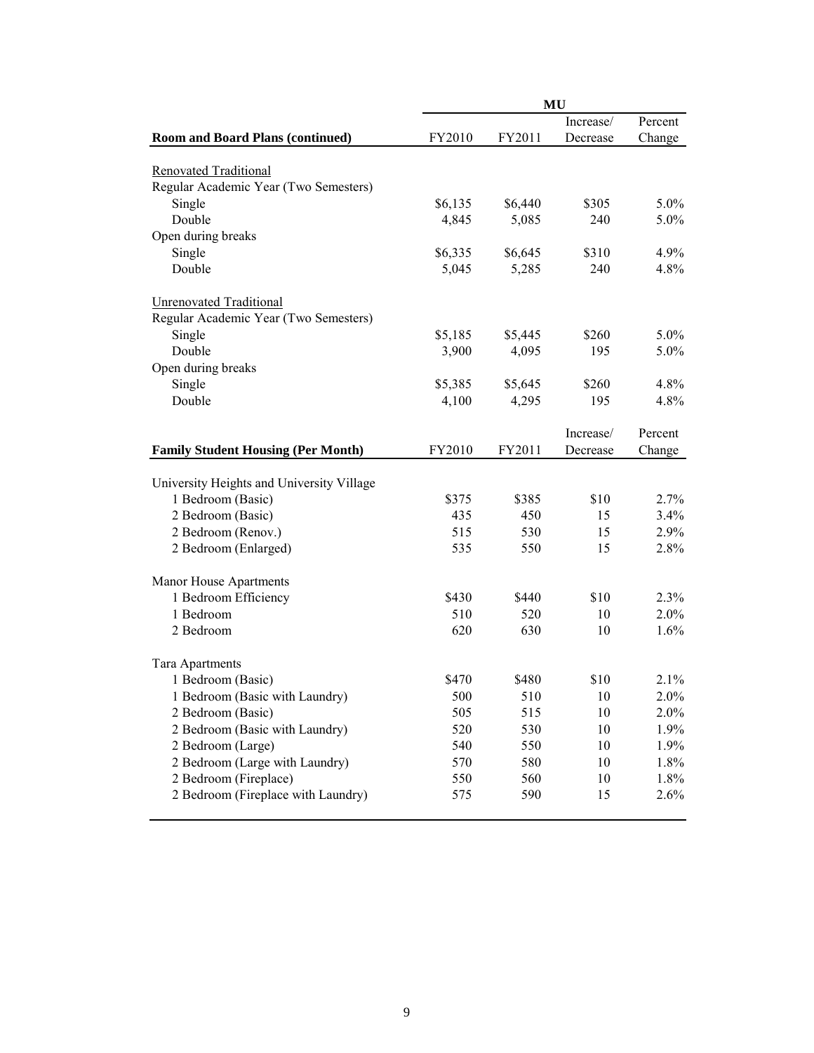|                                           |         |         | <b>MU</b> |         |
|-------------------------------------------|---------|---------|-----------|---------|
|                                           |         |         | Increase/ | Percent |
| <b>Room and Board Plans (continued)</b>   | FY2010  | FY2011  | Decrease  | Change  |
| <b>Renovated Traditional</b>              |         |         |           |         |
| Regular Academic Year (Two Semesters)     |         |         |           |         |
| Single                                    | \$6,135 | \$6,440 | \$305     | $5.0\%$ |
| Double                                    | 4,845   | 5,085   | 240       | $5.0\%$ |
|                                           |         |         |           |         |
| Open during breaks<br>Single              | \$6,335 | \$6,645 | \$310     | 4.9%    |
| Double                                    |         |         | 240       | 4.8%    |
|                                           | 5,045   | 5,285   |           |         |
| <b>Unrenovated Traditional</b>            |         |         |           |         |
| Regular Academic Year (Two Semesters)     |         |         |           |         |
| Single                                    | \$5,185 | \$5,445 | \$260     | $5.0\%$ |
| Double                                    | 3,900   | 4,095   | 195       | $5.0\%$ |
| Open during breaks                        |         |         |           |         |
| Single                                    | \$5,385 | \$5,645 | \$260     | 4.8%    |
| Double                                    | 4,100   | 4,295   | 195       | 4.8%    |
|                                           |         |         | Increase/ | Percent |
| <b>Family Student Housing (Per Month)</b> | FY2010  | FY2011  | Decrease  | Change  |
|                                           |         |         |           |         |
| University Heights and University Village |         |         |           |         |
| 1 Bedroom (Basic)                         | \$375   | \$385   | \$10      | 2.7%    |
| 2 Bedroom (Basic)                         | 435     | 450     | 15        | 3.4%    |
| 2 Bedroom (Renov.)                        | 515     | 530     | 15        | 2.9%    |
| 2 Bedroom (Enlarged)                      | 535     | 550     | 15        | 2.8%    |
|                                           |         |         |           |         |
| Manor House Apartments                    |         |         |           |         |
| 1 Bedroom Efficiency                      | \$430   | \$440   | \$10      | 2.3%    |
| 1 Bedroom                                 | 510     | 520     | 10        | 2.0%    |
| 2 Bedroom                                 | 620     | 630     | 10        | 1.6%    |
| Tara Apartments                           |         |         |           |         |
| 1 Bedroom (Basic)                         | \$470   | \$480   | \$10      | 2.1%    |
| 1 Bedroom (Basic with Laundry)            | 500     | 510     | $10\,$    | 2.0%    |
| 2 Bedroom (Basic)                         | 505     | 515     | 10        | $2.0\%$ |
| 2 Bedroom (Basic with Laundry)            | 520     | 530     | 10        | 1.9%    |
| 2 Bedroom (Large)                         | 540     | 550     | 10        | 1.9%    |
| 2 Bedroom (Large with Laundry)            | 570     | 580     | 10        | 1.8%    |
| 2 Bedroom (Fireplace)                     | 550     | 560     | 10        | 1.8%    |
| 2 Bedroom (Fireplace with Laundry)        | 575     | 590     | 15        | 2.6%    |
|                                           |         |         |           |         |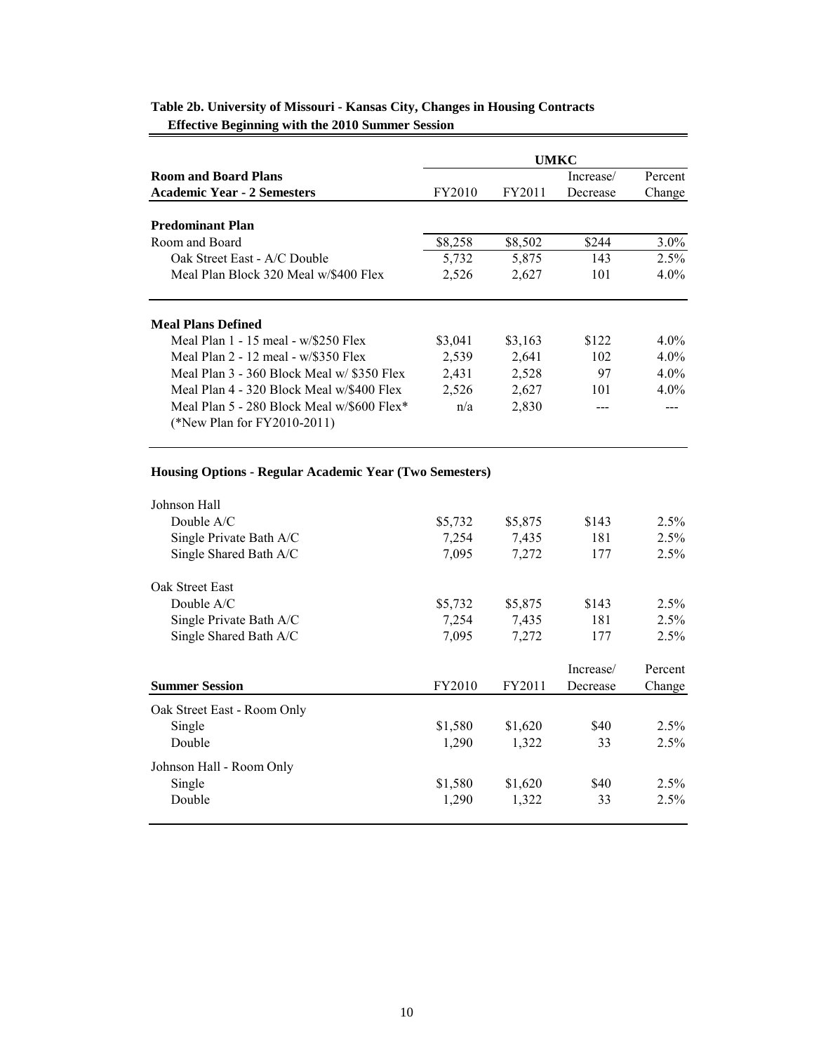|                                                                                |         |         | UMKC      |         |
|--------------------------------------------------------------------------------|---------|---------|-----------|---------|
| <b>Room and Board Plans</b>                                                    |         |         | Increase/ | Percent |
| <b>Academic Year - 2 Semesters</b>                                             | FY2010  | FY2011  | Decrease  | Change  |
| <b>Predominant Plan</b>                                                        |         |         |           |         |
| Room and Board                                                                 | \$8,258 | \$8,502 | \$244     | $3.0\%$ |
| Oak Street East - A/C Double                                                   | 5,732   | 5,875   | 143       | 2.5%    |
| Meal Plan Block 320 Meal w/\$400 Flex                                          | 2,526   | 2,627   | 101       | $4.0\%$ |
| <b>Meal Plans Defined</b>                                                      |         |         |           |         |
| Meal Plan $1 - 15$ meal - $w$ /\$250 Flex                                      | \$3,041 | \$3,163 | \$122     | $4.0\%$ |
| Meal Plan $2 - 12$ meal - w/\$350 Flex                                         | 2,539   | 2,641   | 102       | $4.0\%$ |
| Meal Plan $3 - 360$ Block Meal w/ \$350 Flex                                   | 2,431   | 2,528   | 97        | $4.0\%$ |
| Meal Plan 4 - 320 Block Meal w/\$400 Flex                                      | 2,526   | 2,627   | 101       | $4.0\%$ |
| Meal Plan 5 - 280 Block Meal $w/\$600$ Flex*<br>(*New Plan for $FY2010-2011$ ) | n/a     | 2,830   |           |         |

# **Table 2b. University of Missouri - Kansas City, Changes in Housing Contracts Effective Beginning with the 2010 Summer Session**

# **Housing Options - Regular Academic Year (Two Semesters)**

| Johnson Hall                |         |         |           |         |
|-----------------------------|---------|---------|-----------|---------|
| Double $A/C$                | \$5,732 | \$5,875 | \$143     | $2.5\%$ |
| Single Private Bath A/C     | 7,254   | 7,435   | 181       | $2.5\%$ |
| Single Shared Bath A/C      | 7,095   | 7,272   | 177       | 2.5%    |
| Oak Street East             |         |         |           |         |
| Double $A/C$                | \$5,732 | \$5,875 | \$143     | 2.5%    |
| Single Private Bath A/C     | 7.254   | 7.435   | 181       | $2.5\%$ |
| Single Shared Bath A/C      | 7,095   | 7,272   | 177       | 2.5%    |
|                             |         |         |           |         |
|                             |         |         | Increase/ | Percent |
| <b>Summer Session</b>       | FY2010  | FY2011  | Decrease  | Change  |
| Oak Street East - Room Only |         |         |           |         |
| Single                      | \$1,580 | \$1,620 | \$40      | $2.5\%$ |
| Double                      | 1,290   | 1,322   | 33        |         |
| Johnson Hall - Room Only    |         |         |           | 2.5%    |
| Single                      | \$1,580 | \$1,620 | \$40      | $2.5\%$ |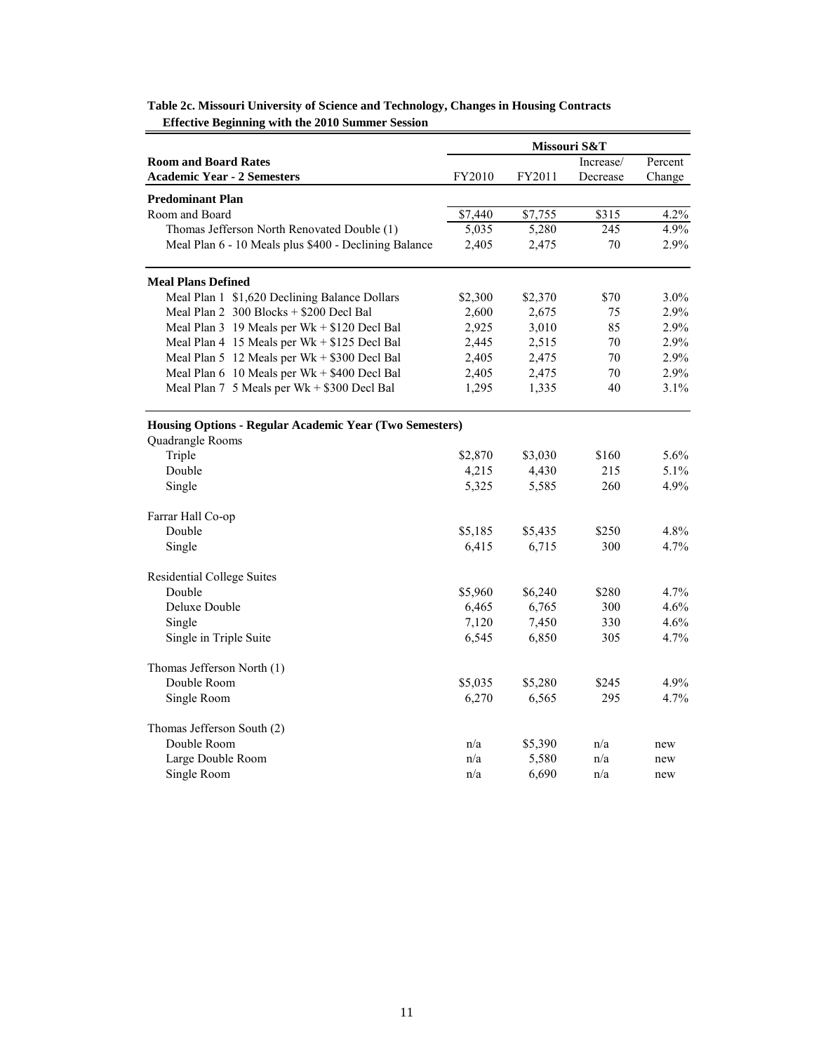|                                                         |         |         | Missouri S&T |         |
|---------------------------------------------------------|---------|---------|--------------|---------|
| <b>Room and Board Rates</b>                             |         |         | Increase/    | Percent |
| <b>Academic Year - 2 Semesters</b>                      | FY2010  | FY2011  | Decrease     | Change  |
| <b>Predominant Plan</b>                                 |         |         |              |         |
| Room and Board                                          | \$7,440 | \$7,755 | \$315        | 4.2%    |
| Thomas Jefferson North Renovated Double (1)             | 5,035   | 5,280   | 245          | 4.9%    |
| Meal Plan 6 - 10 Meals plus \$400 - Declining Balance   | 2,405   | 2,475   | 70           | 2.9%    |
| <b>Meal Plans Defined</b>                               |         |         |              |         |
| Meal Plan 1 \$1,620 Declining Balance Dollars           | \$2,300 | \$2,370 | \$70         | 3.0%    |
| Meal Plan 2 300 Blocks + \$200 Decl Bal                 | 2,600   | 2,675   | 75           | 2.9%    |
| Meal Plan 3 19 Meals per Wk + \$120 Decl Bal            | 2,925   | 3,010   | 85           | 2.9%    |
| Meal Plan 4 15 Meals per Wk + \$125 Decl Bal            | 2,445   | 2,515   | 70           | 2.9%    |
| Meal Plan 5 12 Meals per Wk + \$300 Decl Bal            | 2,405   | 2,475   | 70           | 2.9%    |
| Meal Plan 6 10 Meals per Wk + \$400 Decl Bal            | 2,405   | 2,475   | 70           | 2.9%    |
| Meal Plan 7 5 Meals per Wk + \$300 Decl Bal             | 1,295   | 1,335   | 40           | 3.1%    |
| Housing Options - Regular Academic Year (Two Semesters) |         |         |              |         |
| Quadrangle Rooms                                        |         |         |              |         |
| Triple                                                  | \$2,870 | \$3,030 | \$160        | 5.6%    |
| Double                                                  | 4,215   | 4,430   | 215          | $5.1\%$ |
| Single                                                  | 5,325   | 5,585   | 260          | 4.9%    |
| Farrar Hall Co-op                                       |         |         |              |         |
| Double                                                  | \$5,185 | \$5,435 | \$250        | 4.8%    |
| Single                                                  | 6,415   | 6,715   | 300          | $4.7\%$ |
| <b>Residential College Suites</b>                       |         |         |              |         |
| Double                                                  | \$5,960 | \$6,240 | \$280        | 4.7%    |
| Deluxe Double                                           | 6,465   | 6,765   | 300          | 4.6%    |
| Single                                                  | 7,120   | 7,450   | 330          | 4.6%    |
| Single in Triple Suite                                  | 6,545   | 6,850   | 305          | 4.7%    |
| Thomas Jefferson North (1)                              |         |         |              |         |
| Double Room                                             | \$5,035 | \$5,280 | \$245        | 4.9%    |
| Single Room                                             | 6,270   | 6,565   | 295          | 4.7%    |
| Thomas Jefferson South (2)                              |         |         |              |         |
| Double Room                                             | n/a     | \$5,390 | n/a          | new     |
| Large Double Room                                       | n/a     | 5,580   | n/a          | new     |
| Single Room                                             | n/a     | 6,690   | n/a          | new     |

| Table 2c. Missouri University of Science and Technology, Changes in Housing Contracts |  |
|---------------------------------------------------------------------------------------|--|
| <b>Effective Beginning with the 2010 Summer Session</b>                               |  |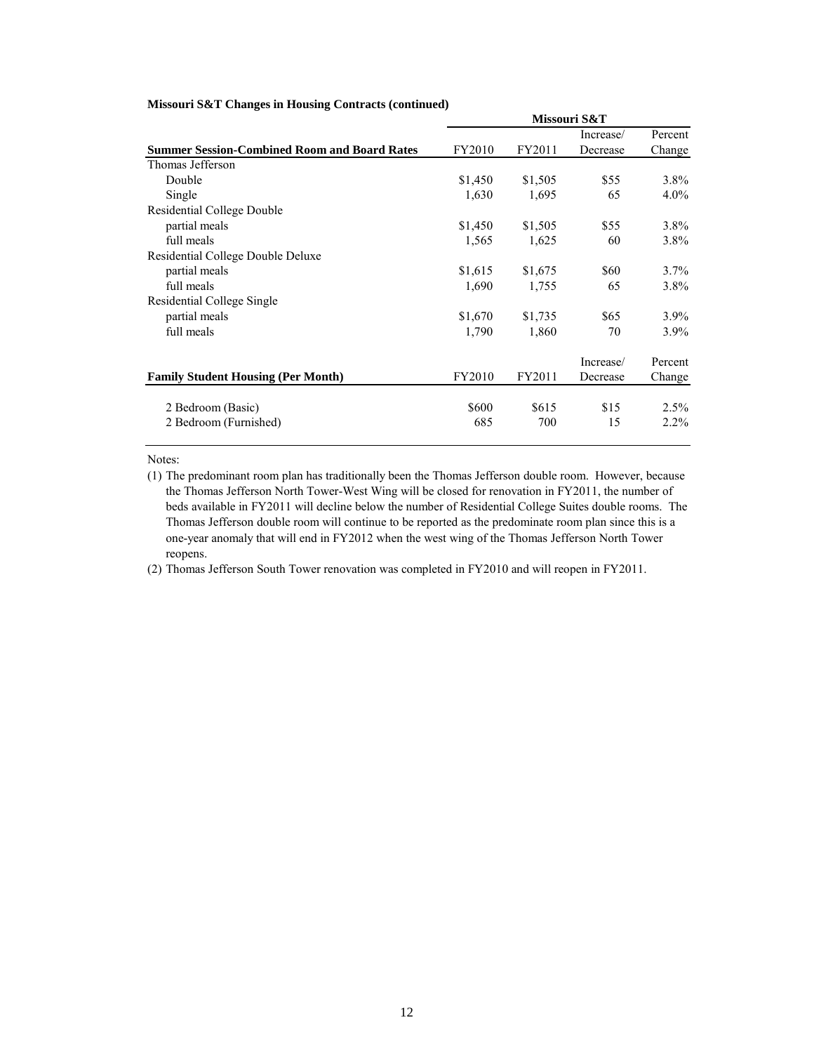|                                                     |         |         | Missouri S&T |         |
|-----------------------------------------------------|---------|---------|--------------|---------|
|                                                     |         |         | Increase/    | Percent |
| <b>Summer Session-Combined Room and Board Rates</b> | FY2010  | FY2011  | Decrease     | Change  |
| Thomas Jefferson                                    |         |         |              |         |
| Double                                              | \$1,450 | \$1,505 | \$55         | $3.8\%$ |
| Single                                              | 1,630   | 1,695   | 65           | $4.0\%$ |
| <b>Residential College Double</b>                   |         |         |              |         |
| partial meals                                       | \$1,450 | \$1,505 | \$55         | $3.8\%$ |
| full meals                                          | 1,565   | 1,625   | 60           | $3.8\%$ |
| Residential College Double Deluxe                   |         |         |              |         |
| partial meals                                       | \$1,615 | \$1,675 | \$60         | $3.7\%$ |
| full meals                                          | 1,690   | 1,755   | 65           | 3.8%    |
| Residential College Single                          |         |         |              |         |
| partial meals                                       | \$1,670 | \$1,735 | \$65         | $3.9\%$ |
| full meals                                          | 1,790   | 1,860   | 70           | $3.9\%$ |
|                                                     |         |         | Increase/    | Percent |
| <b>Family Student Housing (Per Month)</b>           | FY2010  | FY2011  | Decrease     | Change  |
| 2 Bedroom (Basic)                                   | \$600   | \$615   | \$15         | 2.5%    |
| 2 Bedroom (Furnished)                               | 685     | 700     | 15           | $2.2\%$ |

#### **Missouri S&T Changes in Housing Contracts (continued)**

Notes:

(1) The predominant room plan has traditionally been the Thomas Jefferson double room. However, because the Thomas Jefferson North Tower-West Wing will be closed for renovation in FY2011, the number of beds available in FY2011 will decline below the number of Residential College Suites double rooms. The Thomas Jefferson double room will continue to be reported as the predominate room plan since this is a one-year anomaly that will end in FY2012 when the west wing of the Thomas Jefferson North Tower reopens.

(2) Thomas Jefferson South Tower renovation was completed in FY2010 and will reopen in FY2011.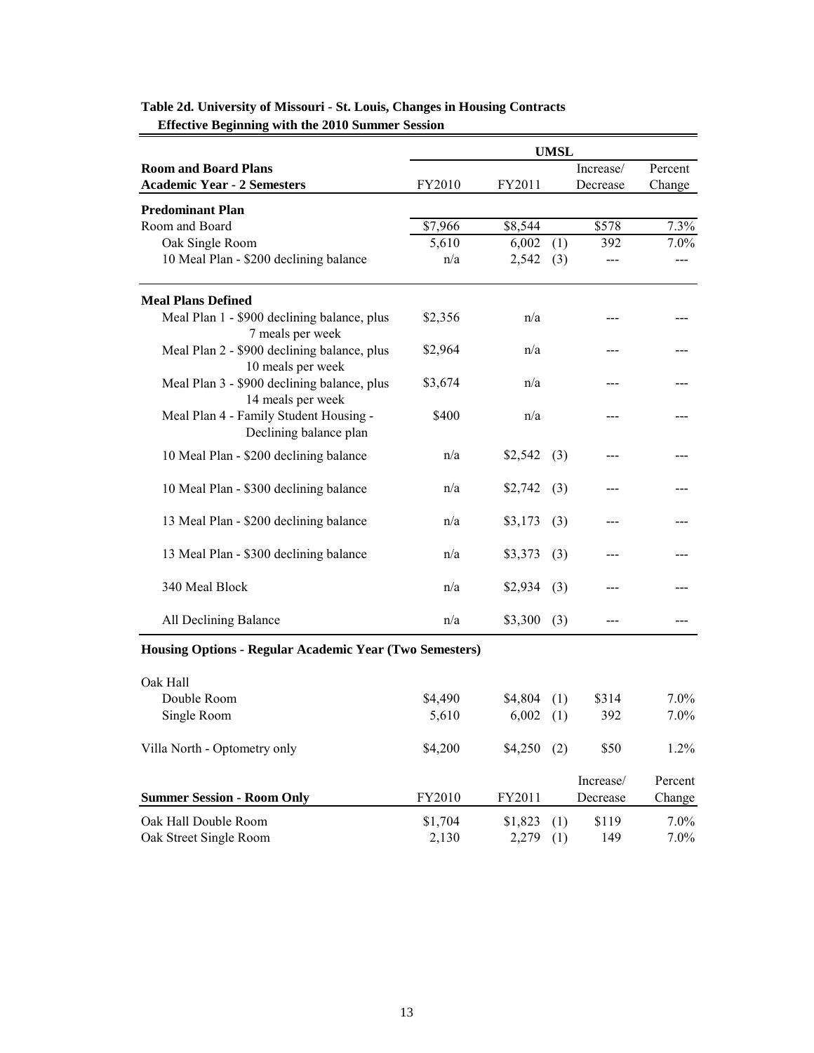|                                                                  | <b>UMSL</b> |         |     |           |         |  |
|------------------------------------------------------------------|-------------|---------|-----|-----------|---------|--|
| <b>Room and Board Plans</b>                                      |             |         |     | Increase/ | Percent |  |
| <b>Academic Year - 2 Semesters</b>                               | FY2010      | FY2011  |     | Decrease  | Change  |  |
| <b>Predominant Plan</b>                                          |             |         |     |           |         |  |
| Room and Board                                                   | \$7,966     | \$8,544 |     | \$578     | 7.3%    |  |
| Oak Single Room                                                  | 5,610       | 6,002   | (1) | 392       | $7.0\%$ |  |
| 10 Meal Plan - \$200 declining balance                           | n/a         | 2,542   | (3) |           |         |  |
| <b>Meal Plans Defined</b>                                        |             |         |     |           |         |  |
| Meal Plan 1 - \$900 declining balance, plus<br>7 meals per week  | \$2,356     | n/a     |     |           |         |  |
| Meal Plan 2 - \$900 declining balance, plus<br>10 meals per week | \$2,964     | n/a     |     |           |         |  |
| Meal Plan 3 - \$900 declining balance, plus<br>14 meals per week | \$3,674     | n/a     |     |           |         |  |
| Meal Plan 4 - Family Student Housing -<br>Declining balance plan | \$400       | n/a     |     |           |         |  |
| 10 Meal Plan - \$200 declining balance                           | n/a         | \$2,542 | (3) |           |         |  |
| 10 Meal Plan - \$300 declining balance                           | n/a         | \$2,742 | (3) |           |         |  |
| 13 Meal Plan - \$200 declining balance                           | n/a         | \$3,173 | (3) |           |         |  |
| 13 Meal Plan - \$300 declining balance                           | n/a         | \$3,373 | (3) |           |         |  |
| 340 Meal Block                                                   | n/a         | \$2,934 | (3) |           |         |  |
| All Declining Balance                                            | n/a         | \$3,300 | (3) | ---       |         |  |
| Housing Options - Regular Academic Year (Two Semesters)          |             |         |     |           |         |  |
| Oak Hall                                                         |             |         |     |           |         |  |
| Double Room                                                      | \$4,490     | \$4,804 | (1) | \$314     | 7.0%    |  |
| Single Room                                                      | 5,610       | 6,002   | (1) | 392       | 7.0%    |  |
| Villa North - Optometry only                                     | \$4,200     | \$4,250 | (2) | \$50      | 1.2%    |  |
|                                                                  |             |         |     | Increase/ | Percent |  |
| <b>Summer Session - Room Only</b>                                | FY2010      | FY2011  |     | Decrease  | Change  |  |
| Oak Hall Double Room                                             | \$1,704     | \$1,823 | (1) | \$119     | 7.0%    |  |
| Oak Street Single Room                                           | 2,130       | 2,279   | (1) | 149       | 7.0%    |  |

# **Table 2d. University of Missouri - St. Louis, Changes in Housing Contracts Effective Beginning with the 2010 Summer Session**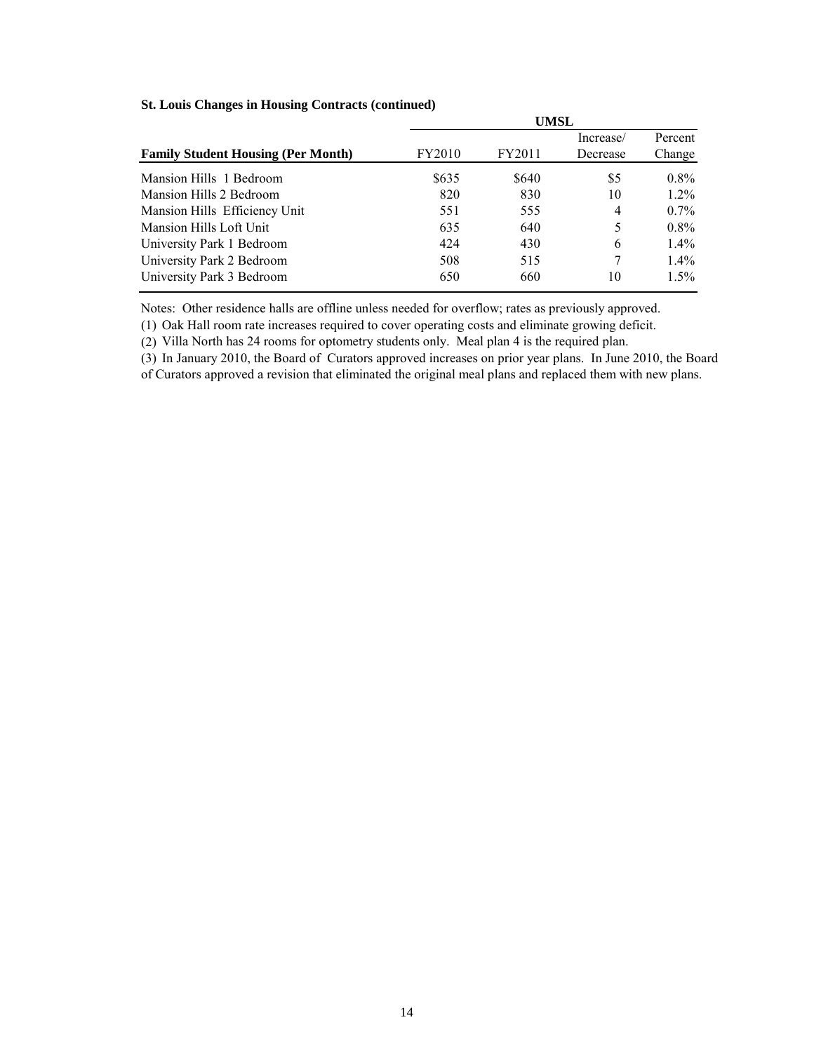|                                           | UMSL   |        |           |         |  |  |  |
|-------------------------------------------|--------|--------|-----------|---------|--|--|--|
|                                           |        |        | Increase/ | Percent |  |  |  |
| <b>Family Student Housing (Per Month)</b> | FY2010 | FY2011 | Decrease  | Change  |  |  |  |
| Mansion Hills 1 Bedroom                   | \$635  | \$640  | \$5       | $0.8\%$ |  |  |  |
| Mansion Hills 2 Bedroom                   | 820    | 830    | 10        | $1.2\%$ |  |  |  |
| Mansion Hills Efficiency Unit             | 551    | 555    | 4         | $0.7\%$ |  |  |  |
| Mansion Hills Loft Unit                   | 635    | 640    | 5         | $0.8\%$ |  |  |  |
| University Park 1 Bedroom                 | 424    | 430    | 6         | $1.4\%$ |  |  |  |
| University Park 2 Bedroom                 | 508    | 515    | 7         | $1.4\%$ |  |  |  |
| University Park 3 Bedroom                 | 650    | 660    | 10        | $1.5\%$ |  |  |  |

### **St. Louis Changes in Housing Contracts (continued)**

Notes: Other residence halls are offline unless needed for overflow; rates as previously approved.

(1) Oak Hall room rate increases required to cover operating costs and eliminate growing deficit.

(2) Villa North has 24 rooms for optometry students only. Meal plan 4 is the required plan.

(3) In January 2010, the Board of Curators approved increases on prior year plans. In June 2010, the Board of Curators approved a revision that eliminated the original meal plans and replaced them with new plans.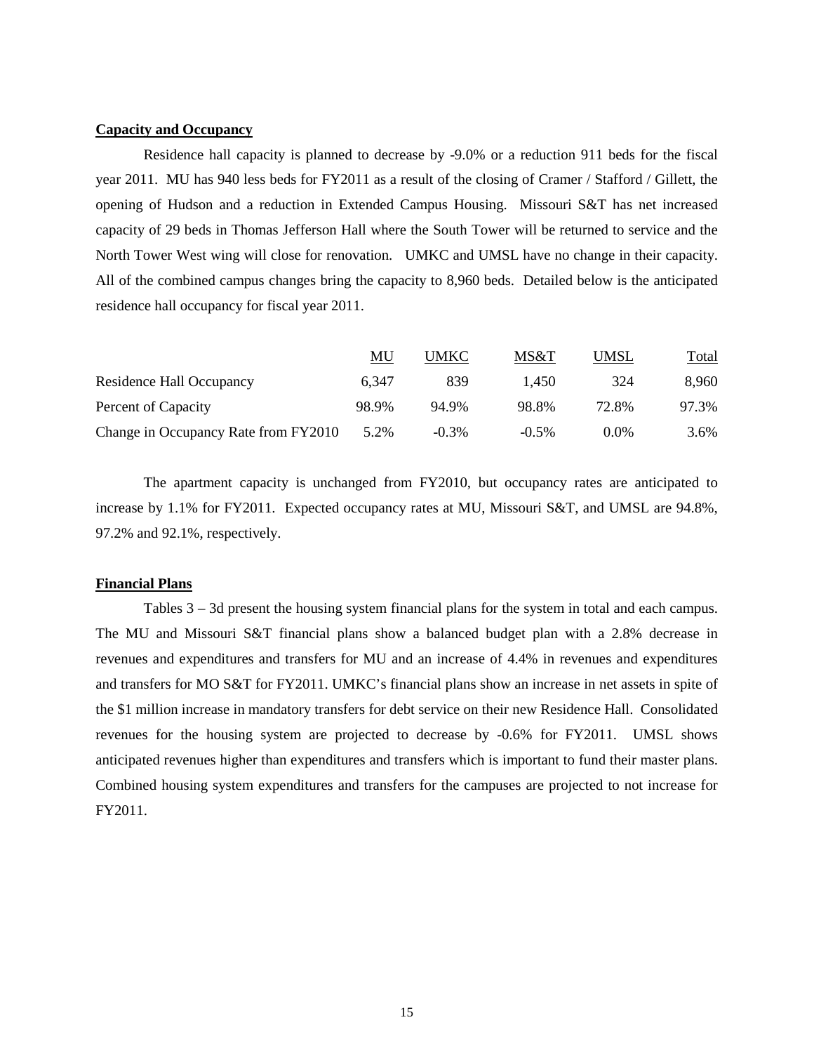### **Capacity and Occupancy**

Residence hall capacity is planned to decrease by -9.0% or a reduction 911 beds for the fiscal year 2011. MU has 940 less beds for FY2011 as a result of the closing of Cramer / Stafford / Gillett, the opening of Hudson and a reduction in Extended Campus Housing. Missouri S&T has net increased capacity of 29 beds in Thomas Jefferson Hall where the South Tower will be returned to service and the North Tower West wing will close for renovation. UMKC and UMSL have no change in their capacity. All of the combined campus changes bring the capacity to 8,960 beds. Detailed below is the anticipated residence hall occupancy for fiscal year 2011.

|                                      | MU    | UMKC     | MS&T     | UMSL    | Total |
|--------------------------------------|-------|----------|----------|---------|-------|
| Residence Hall Occupancy             | 6.347 | 839      | 1.450    | 324     | 8.960 |
| Percent of Capacity                  | 98.9% | 94.9%    | 98.8%    | 72.8%   | 97.3% |
| Change in Occupancy Rate from FY2010 | 5.2%  | $-0.3\%$ | $-0.5\%$ | $0.0\%$ | 3.6%  |

 The apartment capacity is unchanged from FY2010, but occupancy rates are anticipated to increase by 1.1% for FY2011. Expected occupancy rates at MU, Missouri S&T, and UMSL are 94.8%, 97.2% and 92.1%, respectively.

#### **Financial Plans**

Tables 3 – 3d present the housing system financial plans for the system in total and each campus. The MU and Missouri S&T financial plans show a balanced budget plan with a 2.8% decrease in revenues and expenditures and transfers for MU and an increase of 4.4% in revenues and expenditures and transfers for MO S&T for FY2011. UMKC's financial plans show an increase in net assets in spite of the \$1 million increase in mandatory transfers for debt service on their new Residence Hall. Consolidated revenues for the housing system are projected to decrease by -0.6% for FY2011. UMSL shows anticipated revenues higher than expenditures and transfers which is important to fund their master plans. Combined housing system expenditures and transfers for the campuses are projected to not increase for FY2011.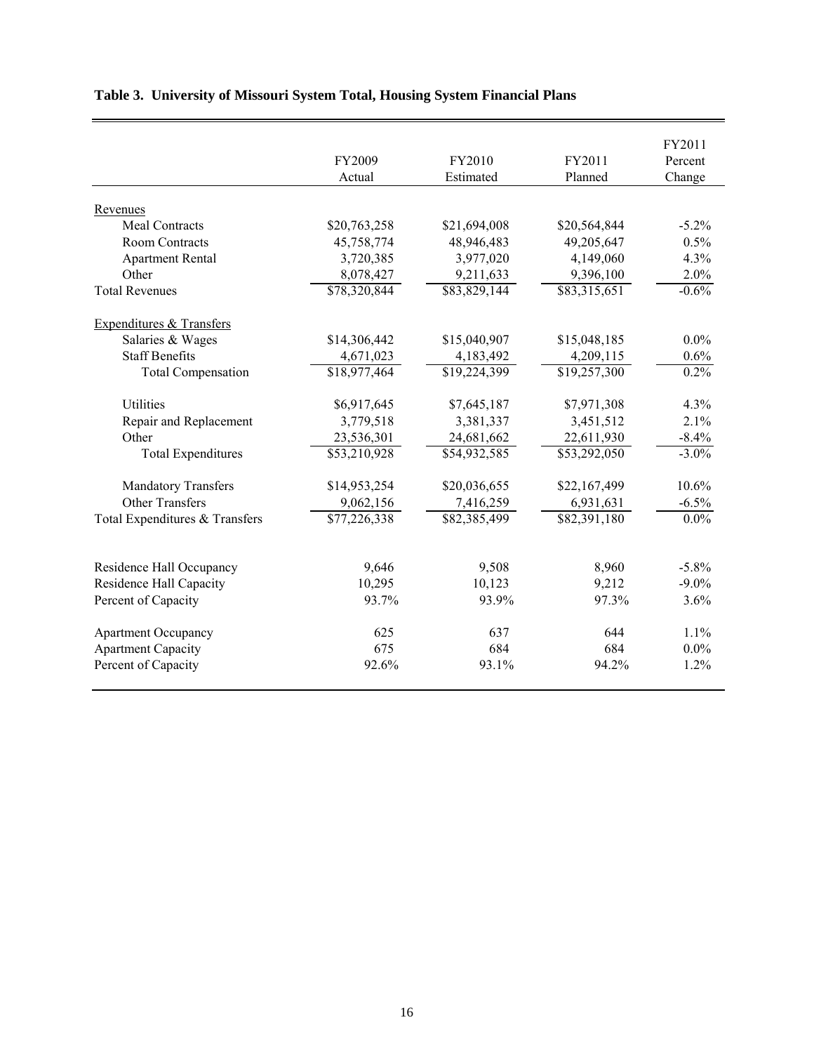|                                |              |              |              | FY2011   |
|--------------------------------|--------------|--------------|--------------|----------|
|                                | FY2009       | FY2010       | FY2011       | Percent  |
|                                | Actual       | Estimated    | Planned      | Change   |
|                                |              |              |              |          |
| Revenues                       |              |              |              |          |
| <b>Meal Contracts</b>          | \$20,763,258 | \$21,694,008 | \$20,564,844 | $-5.2\%$ |
| <b>Room Contracts</b>          | 45,758,774   | 48,946,483   | 49,205,647   | 0.5%     |
| <b>Apartment Rental</b>        | 3,720,385    | 3,977,020    | 4,149,060    | 4.3%     |
| Other                          | 8,078,427    | 9,211,633    | 9,396,100    | 2.0%     |
| <b>Total Revenues</b>          | \$78,320,844 | \$83,829,144 | \$83,315,651 | $-0.6%$  |
| Expenditures & Transfers       |              |              |              |          |
| Salaries & Wages               | \$14,306,442 | \$15,040,907 | \$15,048,185 | $0.0\%$  |
| <b>Staff Benefits</b>          | 4,671,023    | 4,183,492    | 4,209,115    | 0.6%     |
| <b>Total Compensation</b>      | \$18,977,464 | \$19,224,399 | \$19,257,300 | 0.2%     |
|                                |              |              |              |          |
| <b>Utilities</b>               | \$6,917,645  | \$7,645,187  | \$7,971,308  | 4.3%     |
| Repair and Replacement         | 3,779,518    | 3,381,337    | 3,451,512    | 2.1%     |
| Other                          | 23,536,301   | 24,681,662   | 22,611,930   | $-8.4%$  |
| <b>Total Expenditures</b>      | \$53,210,928 | \$54,932,585 | \$53,292,050 | $-3.0\%$ |
| <b>Mandatory Transfers</b>     | \$14,953,254 | \$20,036,655 | \$22,167,499 | 10.6%    |
| <b>Other Transfers</b>         | 9,062,156    | 7,416,259    | 6,931,631    | $-6.5%$  |
| Total Expenditures & Transfers | \$77,226,338 | \$82,385,499 | \$82,391,180 | $0.0\%$  |
|                                |              |              |              |          |
| Residence Hall Occupancy       | 9,646        | 9,508        | 8,960        | $-5.8\%$ |
| <b>Residence Hall Capacity</b> | 10,295       | 10,123       | 9,212        | $-9.0\%$ |
| Percent of Capacity            | 93.7%        | 93.9%        | 97.3%        | 3.6%     |
| <b>Apartment Occupancy</b>     | 625          | 637          | 644          | 1.1%     |
| <b>Apartment Capacity</b>      | 675          | 684          | 684          | $0.0\%$  |
| Percent of Capacity            | 92.6%        | 93.1%        | 94.2%        | $1.2\%$  |
|                                |              |              |              |          |

# **Table 3. University of Missouri System Total, Housing System Financial Plans**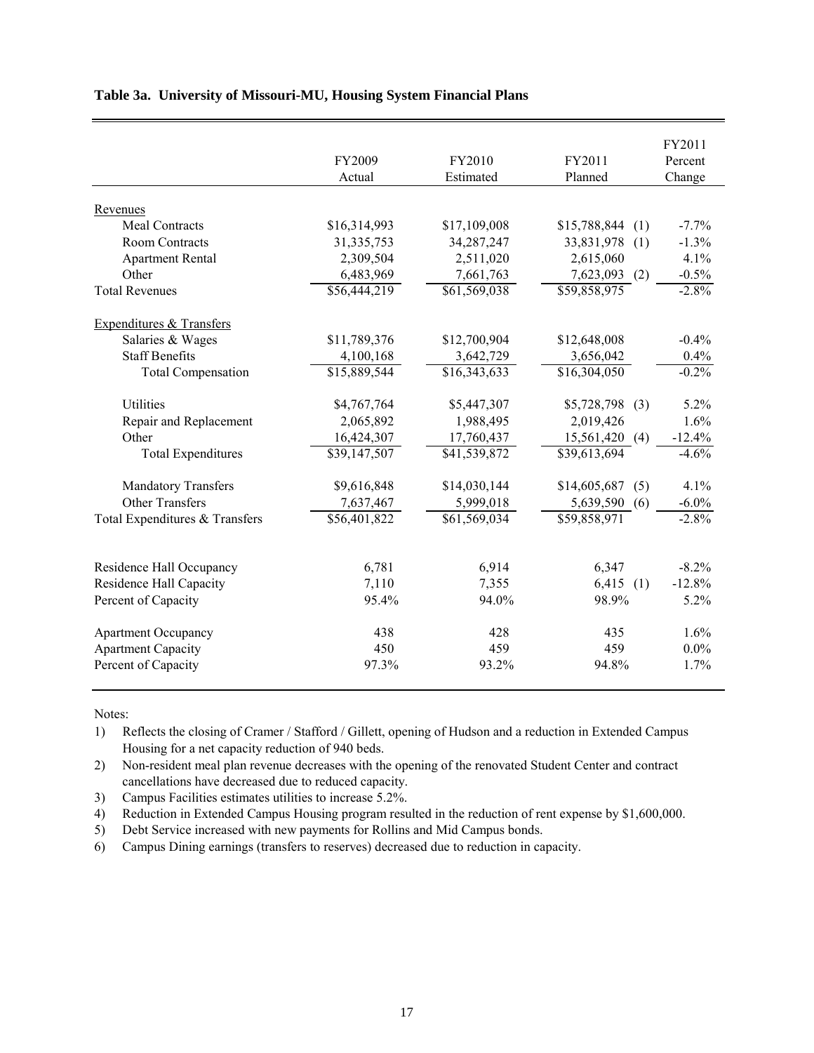|                                     |              |              |                     | FY2011   |
|-------------------------------------|--------------|--------------|---------------------|----------|
|                                     | FY2009       | FY2010       | FY2011              | Percent  |
|                                     | Actual       | Estimated    | Planned             | Change   |
|                                     |              |              |                     |          |
| Revenues                            |              |              |                     |          |
| <b>Meal Contracts</b>               | \$16,314,993 | \$17,109,008 | \$15,788,844<br>(1) | $-7.7%$  |
| <b>Room Contracts</b>               | 31, 335, 753 | 34,287,247   | 33,831,978<br>(1)   | $-1.3%$  |
| <b>Apartment Rental</b>             | 2,309,504    | 2,511,020    | 2,615,060           | 4.1%     |
| Other                               | 6,483,969    | 7,661,763    | $7,623,093$ (2)     | $-0.5%$  |
| <b>Total Revenues</b>               | \$56,444,219 | \$61,569,038 | \$59,858,975        | $-2.8%$  |
| <b>Expenditures &amp; Transfers</b> |              |              |                     |          |
| Salaries & Wages                    | \$11,789,376 | \$12,700,904 | \$12,648,008        | $-0.4%$  |
| <b>Staff Benefits</b>               | 4,100,168    | 3,642,729    | 3,656,042           | 0.4%     |
| <b>Total Compensation</b>           | \$15,889,544 | \$16,343,633 | \$16,304,050        | $-0.2\%$ |
|                                     |              |              |                     |          |
| Utilities                           | \$4,767,764  | \$5,447,307  | \$5,728,798<br>(3)  | 5.2%     |
| Repair and Replacement              | 2,065,892    | 1,988,495    | 2,019,426           | 1.6%     |
| Other                               | 16,424,307   | 17,760,437   | 15,561,420 (4)      | $-12.4%$ |
| <b>Total Expenditures</b>           | \$39,147,507 | \$41,539,872 | \$39,613,694        | $-4.6%$  |
| <b>Mandatory Transfers</b>          | \$9,616,848  | \$14,030,144 | \$14,605,687<br>(5) | 4.1%     |
| <b>Other Transfers</b>              | 7,637,467    | 5,999,018    | 5,639,590<br>(6)    | $-6.0\%$ |
| Total Expenditures & Transfers      | \$56,401,822 | \$61,569,034 | \$59,858,971        | $-2.8\%$ |
|                                     |              |              |                     |          |
| Residence Hall Occupancy            | 6,781        | 6,914        | 6,347               | $-8.2%$  |
| <b>Residence Hall Capacity</b>      | 7,110        | 7,355        | 6,415<br>(1)        | $-12.8%$ |
| Percent of Capacity                 | 95.4%        | 94.0%        | 98.9%               | 5.2%     |
| <b>Apartment Occupancy</b>          | 438          | 428          | 435                 | 1.6%     |
| <b>Apartment Capacity</b>           | 450          | 459          | 459                 | $0.0\%$  |
| Percent of Capacity                 | 97.3%        | 93.2%        | 94.8%               | 1.7%     |

### **Table 3a. University of Missouri-MU, Housing System Financial Plans**

Notes:

1) Reflects the closing of Cramer / Stafford / Gillett, opening of Hudson and a reduction in Extended Campus Housing for a net capacity reduction of 940 beds.

2) Non-resident meal plan revenue decreases with the opening of the renovated Student Center and contract cancellations have decreased due to reduced capacity.

3) Campus Facilities estimates utilities to increase 5.2%.

4) Reduction in Extended Campus Housing program resulted in the reduction of rent expense by \$1,600,000.

5) Debt Service increased with new payments for Rollins and Mid Campus bonds.

6) Campus Dining earnings (transfers to reserves) decreased due to reduction in capacity.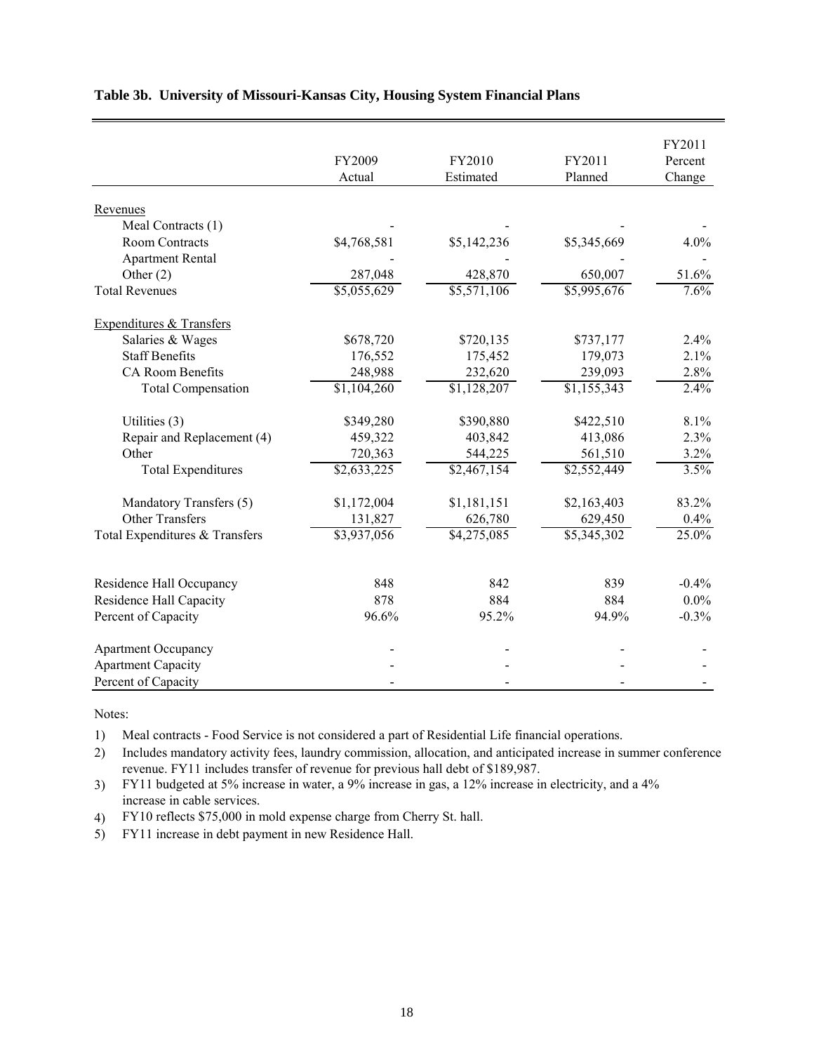|                                             |             |             |             | FY2011  |
|---------------------------------------------|-------------|-------------|-------------|---------|
|                                             | FY2009      | FY2010      | FY2011      | Percent |
|                                             | Actual      | Estimated   | Planned     | Change  |
|                                             |             |             |             |         |
| Revenues                                    |             |             |             |         |
| Meal Contracts (1)<br><b>Room Contracts</b> | \$4,768,581 | \$5,142,236 | \$5,345,669 | 4.0%    |
|                                             |             |             |             |         |
| <b>Apartment Rental</b>                     |             |             |             |         |
| Other $(2)$                                 | 287,048     | 428,870     | 650,007     | 51.6%   |
| <b>Total Revenues</b>                       | \$5,055,629 | \$5,571,106 | \$5,995,676 | 7.6%    |
| Expenditures & Transfers                    |             |             |             |         |
| Salaries & Wages                            | \$678,720   | \$720,135   | \$737,177   | 2.4%    |
| <b>Staff Benefits</b>                       | 176,552     | 175,452     | 179,073     | 2.1%    |
| <b>CA Room Benefits</b>                     | 248,988     | 232,620     | 239,093     | 2.8%    |
| <b>Total Compensation</b>                   | \$1,104,260 | \$1,128,207 | \$1,155,343 | 2.4%    |
| Utilities (3)                               | \$349,280   | \$390,880   | \$422,510   | 8.1%    |
| Repair and Replacement (4)                  | 459,322     | 403,842     | 413,086     | 2.3%    |
| Other                                       | 720,363     | 544,225     | 561,510     | 3.2%    |
| <b>Total Expenditures</b>                   | \$2,633,225 | \$2,467,154 | \$2,552,449 | 3.5%    |
|                                             |             |             |             |         |
| Mandatory Transfers (5)                     | \$1,172,004 | \$1,181,151 | \$2,163,403 | 83.2%   |
| <b>Other Transfers</b>                      | 131,827     | 626,780     | 629,450     | 0.4%    |
| Total Expenditures & Transfers              | \$3,937,056 | \$4,275,085 | \$5,345,302 | 25.0%   |
| Residence Hall Occupancy                    | 848         | 842         | 839         | $-0.4%$ |
| Residence Hall Capacity                     | 878         | 884         | 884         | $0.0\%$ |
|                                             | 96.6%       |             |             |         |
| Percent of Capacity                         |             | 95.2%       | 94.9%       | $-0.3%$ |
| <b>Apartment Occupancy</b>                  |             |             |             |         |
| <b>Apartment Capacity</b>                   |             |             |             |         |
| Percent of Capacity                         |             |             |             |         |

### **Table 3b. University of Missouri-Kansas City, Housing System Financial Plans**

Notes:

1) Meal contracts - Food Service is not considered a part of Residential Life financial operations.

2) Includes mandatory activity fees, laundry commission, allocation, and anticipated increase in summer conference revenue. FY11 includes transfer of revenue for previous hall debt of \$189,987.

3) FY11 budgeted at 5% increase in water, a 9% increase in gas, a 12% increase in electricity, and a 4% increase in cable services.

4) FY10 reflects \$75,000 in mold expense charge from Cherry St. hall.

5) FY11 increase in debt payment in new Residence Hall.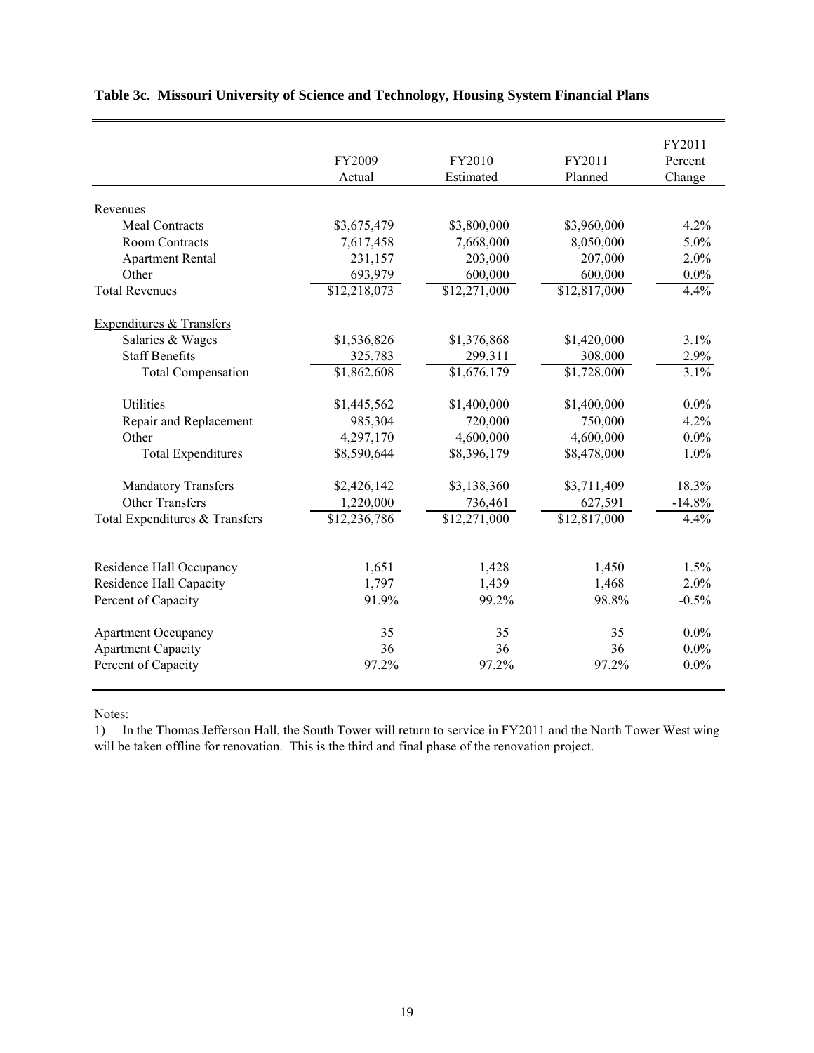|                                |              |              |                         | FY2011   |
|--------------------------------|--------------|--------------|-------------------------|----------|
|                                | FY2009       | FY2010       | FY2011                  | Percent  |
|                                | Actual       | Estimated    | Planned                 | Change   |
|                                |              |              |                         |          |
| Revenues                       |              |              |                         |          |
| <b>Meal Contracts</b>          | \$3,675,479  | \$3,800,000  | \$3,960,000             | 4.2%     |
| <b>Room Contracts</b>          | 7,617,458    | 7,668,000    | 8,050,000               | 5.0%     |
| <b>Apartment Rental</b>        | 231,157      | 203,000      | 207,000                 | 2.0%     |
| Other                          | 693,979      | 600,000      | 600,000                 | $0.0\%$  |
| <b>Total Revenues</b>          | \$12,218,073 | \$12,271,000 | \$12,817,000            | 4.4%     |
| Expenditures & Transfers       |              |              |                         |          |
| Salaries & Wages               | \$1,536,826  | \$1,376,868  | \$1,420,000             | 3.1%     |
| <b>Staff Benefits</b>          | 325,783      | 299,311      | 308,000                 | 2.9%     |
| <b>Total Compensation</b>      | \$1,862,608  | \$1,676,179  | \$1,728,000             | 3.1%     |
| <b>Utilities</b>               | \$1,445,562  | \$1,400,000  | \$1,400,000             | $0.0\%$  |
| Repair and Replacement         | 985,304      | 720,000      | 750,000                 | 4.2%     |
| Other                          | 4,297,170    | 4,600,000    | 4,600,000               | $0.0\%$  |
| <b>Total Expenditures</b>      | \$8,590,644  | \$8,396,179  | $\overline{$8,478,000}$ | 1.0%     |
| <b>Mandatory Transfers</b>     | \$2,426,142  | \$3,138,360  | \$3,711,409             | 18.3%    |
| <b>Other Transfers</b>         | 1,220,000    | 736,461      | 627,591                 | $-14.8%$ |
| Total Expenditures & Transfers | \$12,236,786 | \$12,271,000 | \$12,817,000            | 4.4%     |
|                                |              |              |                         |          |
| Residence Hall Occupancy       | 1,651        | 1,428        | 1,450                   | 1.5%     |
| <b>Residence Hall Capacity</b> | 1,797        | 1,439        | 1,468                   | 2.0%     |
| Percent of Capacity            | 91.9%        | 99.2%        | 98.8%                   | $-0.5%$  |
| <b>Apartment Occupancy</b>     | 35           | 35           | 35                      | $0.0\%$  |
| <b>Apartment Capacity</b>      | 36           | 36           | 36                      | $0.0\%$  |
| Percent of Capacity            | 97.2%        | 97.2%        | 97.2%                   | $0.0\%$  |

## **Table 3c. Missouri University of Science and Technology, Housing System Financial Plans**

Notes:

1) In the Thomas Jefferson Hall, the South Tower will return to service in FY2011 and the North Tower West wing will be taken offline for renovation. This is the third and final phase of the renovation project.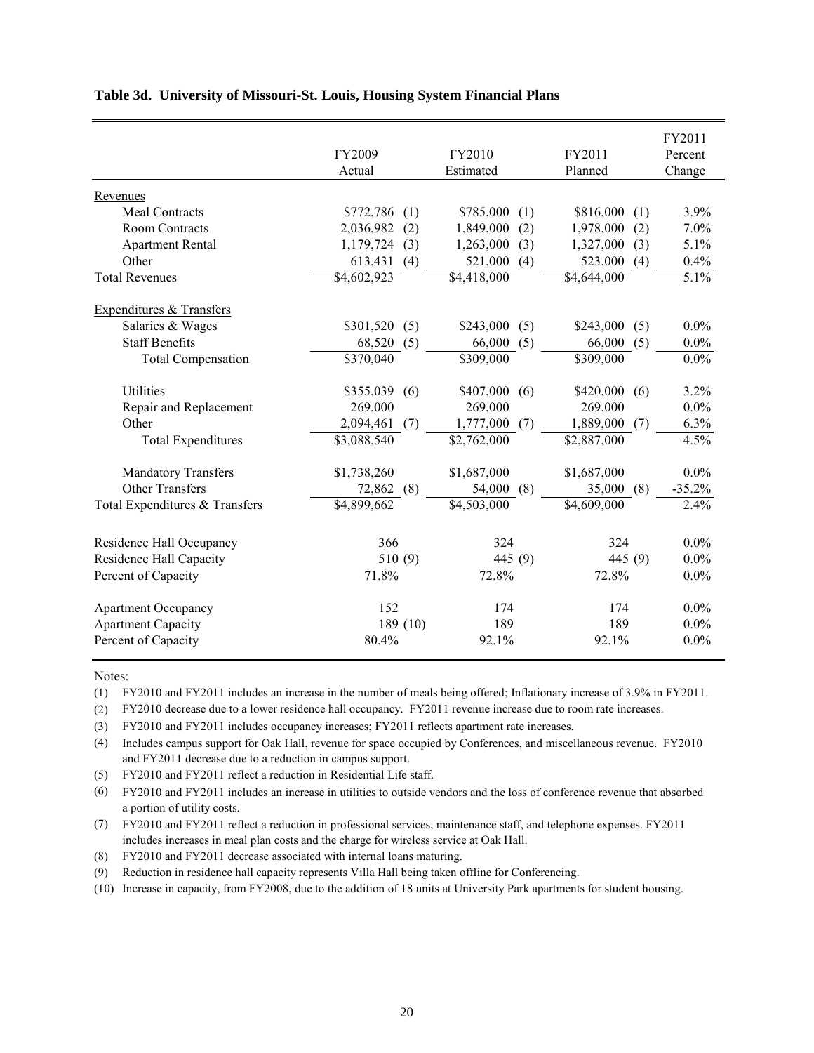|                                |                         |                         |                         | FY2011   |
|--------------------------------|-------------------------|-------------------------|-------------------------|----------|
|                                | FY2009                  | FY2010                  | FY2011                  | Percent  |
|                                | Actual                  | Estimated               | Planned                 | Change   |
| Revenues                       |                         |                         |                         |          |
| Meal Contracts                 | \$772,786<br>(1)        | \$785,000<br>(1)        | \$816,000<br>(1)        | 3.9%     |
| <b>Room Contracts</b>          | 2,036,982<br>(2)        | 1,849,000<br>(2)        | 1,978,000<br>(2)        | 7.0%     |
| <b>Apartment Rental</b>        | 1,179,724<br>(3)        | (3)<br>1,263,000        | 1,327,000<br>(3)        | 5.1%     |
| Other                          | 613,431<br>(4)          | 521,000<br>(4)          | 523,000<br>(4)          | 0.4%     |
| <b>Total Revenues</b>          | \$4,602,923             | $\overline{84,418,000}$ | $\overline{84,64}4,000$ | 5.1%     |
| Expenditures & Transfers       |                         |                         |                         |          |
| Salaries & Wages               | \$301,520<br>(5)        | \$243,000<br>(5)        | \$243,000<br>(5)        | $0.0\%$  |
| <b>Staff Benefits</b>          | 68,520<br>(5)           | 66,000<br>(5)           | 66,000<br>(5)           | $0.0\%$  |
| <b>Total Compensation</b>      | $\overline{$370,040}$   | \$309,000               | \$309,000               | $0.0\%$  |
| <b>Utilities</b>               | \$355,039<br>(6)        | \$407,000<br>(6)        | \$420,000<br>(6)        | 3.2%     |
| Repair and Replacement         | 269,000                 | 269,000                 | 269,000                 | $0.0\%$  |
| Other                          | 2,094,461<br>(7)        | 1,777,000<br>(7)        | 1,889,000<br>(7)        | 6.3%     |
| <b>Total Expenditures</b>      | \$3,088,540             | \$2,762,000             | \$2,887,000             | 4.5%     |
| <b>Mandatory Transfers</b>     | \$1,738,260             | \$1,687,000             | \$1,687,000             | $0.0\%$  |
| <b>Other Transfers</b>         | 72,862<br>(8)           | 54,000<br>(8)           | 35,000<br>(8)           | $-35.2%$ |
| Total Expenditures & Transfers | $\overline{$4,899,662}$ | \$4,503,000             | \$4,609,000             | 2.4%     |
| Residence Hall Occupancy       | 366                     | 324                     | 324                     | $0.0\%$  |
| Residence Hall Capacity        | 510(9)                  | 445 (9)                 | 445 (9)                 | $0.0\%$  |
| Percent of Capacity            | 71.8%                   | 72.8%                   | 72.8%                   | $0.0\%$  |
| <b>Apartment Occupancy</b>     | 152                     | 174                     | 174                     | $0.0\%$  |
| <b>Apartment Capacity</b>      | 189(10)                 | 189                     | 189                     | $0.0\%$  |
| Percent of Capacity            | 80.4%                   | 92.1%                   | 92.1%                   | $0.0\%$  |

### **Table 3d. University of Missouri-St. Louis, Housing System Financial Plans**

#### Notes:

(1) FY2010 and FY2011 includes an increase in the number of meals being offered; Inflationary increase of 3.9% in FY2011.

(2) FY2010 decrease due to a lower residence hall occupancy. FY2011 revenue increase due to room rate increases.

(3) FY2010 and FY2011 includes occupancy increases; FY2011 reflects apartment rate increases.

(4) Includes campus support for Oak Hall, revenue for space occupied by Conferences, and miscellaneous revenue. FY2010 and FY2011 decrease due to a reduction in campus support.

(5) FY2010 and FY2011 reflect a reduction in Residential Life staff.

(6) FY2010 and FY2011 includes an increase in utilities to outside vendors and the loss of conference revenue that absorbed a portion of utility costs.

(7) FY2010 and FY2011 reflect a reduction in professional services, maintenance staff, and telephone expenses. FY2011 includes increases in meal plan costs and the charge for wireless service at Oak Hall.

(8) FY2010 and FY2011 decrease associated with internal loans maturing.

(9) Reduction in residence hall capacity represents Villa Hall being taken offline for Conferencing.

(10) Increase in capacity, from FY2008, due to the addition of 18 units at University Park apartments for student housing.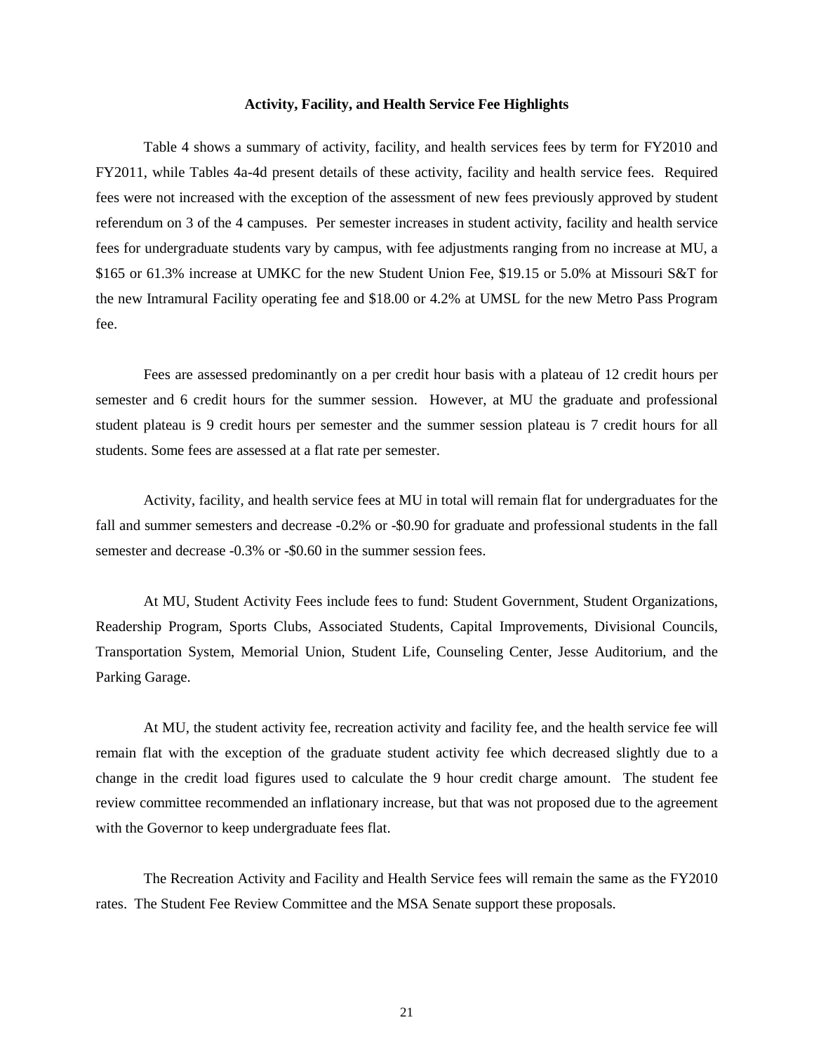#### **Activity, Facility, and Health Service Fee Highlights**

Table 4 shows a summary of activity, facility, and health services fees by term for FY2010 and FY2011, while Tables 4a-4d present details of these activity, facility and health service fees. Required fees were not increased with the exception of the assessment of new fees previously approved by student referendum on 3 of the 4 campuses. Per semester increases in student activity, facility and health service fees for undergraduate students vary by campus, with fee adjustments ranging from no increase at MU, a \$165 or 61.3% increase at UMKC for the new Student Union Fee, \$19.15 or 5.0% at Missouri S&T for the new Intramural Facility operating fee and \$18.00 or 4.2% at UMSL for the new Metro Pass Program fee.

Fees are assessed predominantly on a per credit hour basis with a plateau of 12 credit hours per semester and 6 credit hours for the summer session. However, at MU the graduate and professional student plateau is 9 credit hours per semester and the summer session plateau is 7 credit hours for all students. Some fees are assessed at a flat rate per semester.

 Activity, facility, and health service fees at MU in total will remain flat for undergraduates for the fall and summer semesters and decrease -0.2% or -\$0.90 for graduate and professional students in the fall semester and decrease -0.3% or -\$0.60 in the summer session fees.

At MU, Student Activity Fees include fees to fund: Student Government, Student Organizations, Readership Program, Sports Clubs, Associated Students, Capital Improvements, Divisional Councils, Transportation System, Memorial Union, Student Life, Counseling Center, Jesse Auditorium, and the Parking Garage.

At MU, the student activity fee, recreation activity and facility fee, and the health service fee will remain flat with the exception of the graduate student activity fee which decreased slightly due to a change in the credit load figures used to calculate the 9 hour credit charge amount. The student fee review committee recommended an inflationary increase, but that was not proposed due to the agreement with the Governor to keep undergraduate fees flat.

The Recreation Activity and Facility and Health Service fees will remain the same as the FY2010 rates. The Student Fee Review Committee and the MSA Senate support these proposals.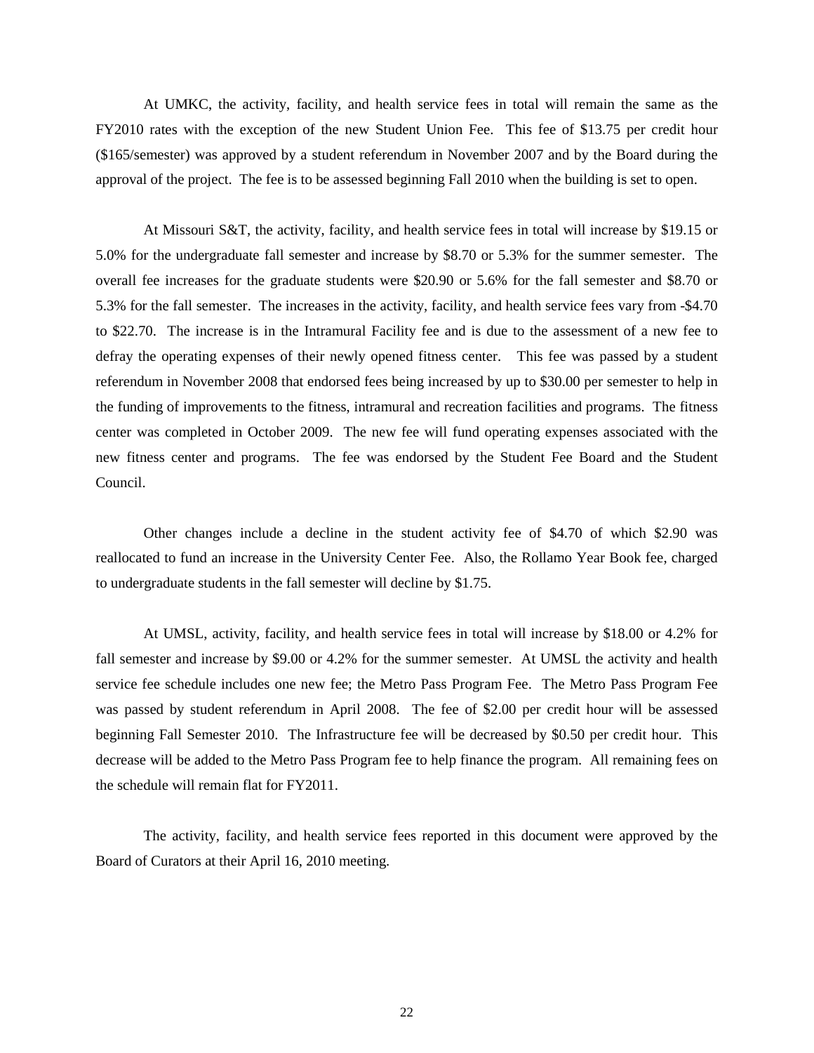At UMKC, the activity, facility, and health service fees in total will remain the same as the FY2010 rates with the exception of the new Student Union Fee. This fee of \$13.75 per credit hour (\$165/semester) was approved by a student referendum in November 2007 and by the Board during the approval of the project. The fee is to be assessed beginning Fall 2010 when the building is set to open.

At Missouri S&T, the activity, facility, and health service fees in total will increase by \$19.15 or 5.0% for the undergraduate fall semester and increase by \$8.70 or 5.3% for the summer semester. The overall fee increases for the graduate students were \$20.90 or 5.6% for the fall semester and \$8.70 or 5.3% for the fall semester. The increases in the activity, facility, and health service fees vary from -\$4.70 to \$22.70. The increase is in the Intramural Facility fee and is due to the assessment of a new fee to defray the operating expenses of their newly opened fitness center. This fee was passed by a student referendum in November 2008 that endorsed fees being increased by up to \$30.00 per semester to help in the funding of improvements to the fitness, intramural and recreation facilities and programs. The fitness center was completed in October 2009. The new fee will fund operating expenses associated with the new fitness center and programs. The fee was endorsed by the Student Fee Board and the Student Council.

Other changes include a decline in the student activity fee of \$4.70 of which \$2.90 was reallocated to fund an increase in the University Center Fee. Also, the Rollamo Year Book fee, charged to undergraduate students in the fall semester will decline by \$1.75.

 At UMSL, activity, facility, and health service fees in total will increase by \$18.00 or 4.2% for fall semester and increase by \$9.00 or 4.2% for the summer semester. At UMSL the activity and health service fee schedule includes one new fee; the Metro Pass Program Fee. The Metro Pass Program Fee was passed by student referendum in April 2008. The fee of \$2.00 per credit hour will be assessed beginning Fall Semester 2010. The Infrastructure fee will be decreased by \$0.50 per credit hour. This decrease will be added to the Metro Pass Program fee to help finance the program. All remaining fees on the schedule will remain flat for FY2011.

The activity, facility, and health service fees reported in this document were approved by the Board of Curators at their April 16, 2010 meeting.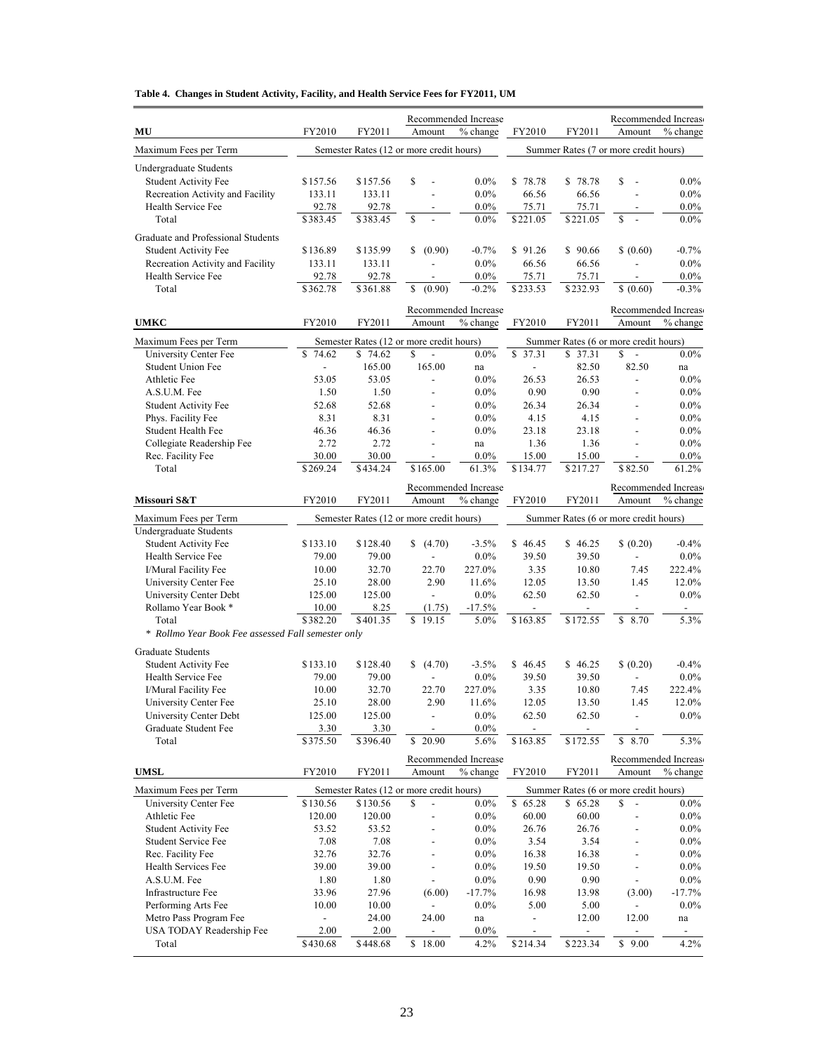|  | Table 4. Changes in Student Activity, Facility, and Health Service Fees for FY2011, UM |  |  |  |  |
|--|----------------------------------------------------------------------------------------|--|--|--|--|
|--|----------------------------------------------------------------------------------------|--|--|--|--|

|                                                    |                          |                   |                                                | Recommended Increase             |                          |                                      |                                       | Recommended Increase             |
|----------------------------------------------------|--------------------------|-------------------|------------------------------------------------|----------------------------------|--------------------------|--------------------------------------|---------------------------------------|----------------------------------|
| MU                                                 | FY2010                   | FY2011            | Amount                                         | % change                         | FY2010                   | FY2011                               | Amount                                | % change                         |
| Maximum Fees per Term                              |                          |                   | Semester Rates (12 or more credit hours)       |                                  |                          |                                      | Summer Rates (7 or more credit hours) |                                  |
| Undergraduate Students                             |                          |                   |                                                |                                  |                          |                                      |                                       |                                  |
| <b>Student Activity Fee</b>                        | \$157.56                 | \$157.56          | \$                                             | $0.0\%$                          | \$78.78                  | \$78.78                              | \$<br>$\overline{\phantom{a}}$        | $0.0\%$                          |
| Recreation Activity and Facility                   | 133.11                   | 133.11            |                                                | $0.0\%$                          | 66.56                    | 66.56                                |                                       | $0.0\%$                          |
| Health Service Fee                                 | 92.78                    | 92.78             |                                                | $0.0\%$                          | 75.71                    | 75.71                                |                                       | $0.0\%$                          |
| Total                                              | \$383.45                 | \$383.45          | \$                                             | $0.0\%$                          | \$221.05                 | \$221.05                             | \$                                    | $0.0\%$                          |
| Graduate and Professional Students                 |                          |                   |                                                |                                  |                          |                                      |                                       |                                  |
| <b>Student Activity Fee</b>                        | \$136.89                 | \$135.99          | \$<br>(0.90)                                   | $-0.7%$                          | \$91.26                  | \$90.66                              | \$ (0.60)                             | $-0.7\%$                         |
| Recreation Activity and Facility                   | 133.11                   | 133.11            |                                                | $0.0\%$                          | 66.56                    | 66.56                                |                                       | $0.0\%$                          |
| Health Service Fee<br>Total                        | 92.78                    | 92.78<br>\$361.88 |                                                | $0.0\%$                          | 75.71                    | 75.71<br>\$232.93                    |                                       | $0.0\%$                          |
|                                                    | \$362.78                 |                   | \$<br>(0.90)                                   | $-0.2%$                          | \$233.53                 |                                      | \$ (0.60)                             | $-0.3%$                          |
| <b>UMKC</b>                                        | FY2010                   | FY2011            | Amount                                         | Recommended Increase<br>% change | FY2010                   | FY2011                               | Amount                                | Recommended Increase<br>% change |
|                                                    |                          |                   |                                                |                                  |                          |                                      | Summer Rates (6 or more credit hours) |                                  |
| Maximum Fees per Term<br>University Center Fee     | 74.62<br>S               | \$74.62           | Semester Rates (12 or more credit hours)<br>\$ | $0.0\%$                          | \$37.31                  | \$37.31                              | \$<br>$\sim$                          | $0.0\%$                          |
| <b>Student Union Fee</b>                           | $\overline{\phantom{a}}$ | 165.00            | 165.00                                         | na                               | $\overline{\phantom{a}}$ | 82.50                                | 82.50                                 | na                               |
| Athletic Fee                                       | 53.05                    | 53.05             | $\frac{1}{2}$                                  | $0.0\%$                          | 26.53                    | 26.53                                | $\overline{\phantom{a}}$              | $0.0\%$                          |
| A.S.U.M. Fee                                       | 1.50                     | 1.50              |                                                | $0.0\%$                          | 0.90                     | 0.90                                 |                                       | $0.0\%$                          |
| <b>Student Activity Fee</b>                        | 52.68                    | 52.68             | $\overline{a}$                                 | $0.0\%$                          | 26.34                    | 26.34                                | $\overline{\phantom{a}}$              | $0.0\%$                          |
| Phys. Facility Fee                                 | 8.31                     | 8.31              |                                                | $0.0\%$                          | 4.15                     | 4.15                                 |                                       | $0.0\%$                          |
| Student Health Fee                                 | 46.36                    | 46.36             |                                                | $0.0\%$                          | 23.18                    | 23.18                                |                                       | $0.0\%$                          |
| Collegiate Readership Fee                          | 2.72                     | 2.72              | $\overline{a}$                                 | na                               | 1.36                     | 1.36                                 |                                       | $0.0\%$                          |
| Rec. Facility Fee                                  | 30.00                    | 30.00             |                                                | $0.0\%$                          | 15.00                    | 15.00                                |                                       | $0.0\%$                          |
| Total                                              | \$269.24                 | \$434.24          | \$165.00                                       | 61.3%                            | $\overline{$}134.77$     | \$217.27                             | $\overline{$}82.50$                   | 61.2%                            |
|                                                    |                          |                   |                                                | Recommended Increase             |                          |                                      |                                       | Recommended Increase             |
| Missouri S&T                                       | FY2010                   | FY2011            | Amount                                         | % change                         | FY2010                   | FY2011                               | Amount                                | % change                         |
| Maximum Fees per Term                              |                          |                   | Semester Rates (12 or more credit hours)       |                                  |                          |                                      | Summer Rates (6 or more credit hours) |                                  |
| <b>Undergraduate Students</b>                      |                          |                   |                                                |                                  |                          |                                      |                                       |                                  |
| Student Activity Fee                               | \$133.10                 | \$128.40          | (4.70)                                         | $-3.5%$                          | \$46.45                  | \$46.25                              | \$ (0.20)                             | $-0.4%$                          |
| Health Service Fee                                 | 79.00                    | 79.00             |                                                | $0.0\%$                          | 39.50                    | 39.50                                |                                       | $0.0\%$                          |
| I/Mural Facility Fee<br>University Center Fee      | 10.00<br>25.10           | 32.70<br>28.00    | 22.70<br>2.90                                  | 227.0%<br>11.6%                  | 3.35<br>12.05            | 10.80<br>13.50                       | 7.45<br>1.45                          | 222.4%<br>12.0%                  |
| University Center Debt                             | 125.00                   | 125.00            | $\blacksquare$                                 | $0.0\%$                          | 62.50                    | 62.50                                | $\overline{\phantom{a}}$              | $0.0\%$                          |
| Rollamo Year Book *                                | 10.00                    | 8.25              | (1.75)                                         | $-17.5\%$                        |                          |                                      |                                       |                                  |
| Total                                              | \$382.20                 | \$401.35          | \$<br>19.15                                    | 5.0%                             | \$163.85                 | \$172.55                             | \$<br>8.70                            | 5.3%                             |
| * Rollmo Year Book Fee assessed Fall semester only |                          |                   |                                                |                                  |                          |                                      |                                       |                                  |
| <b>Graduate Students</b>                           |                          |                   |                                                |                                  |                          |                                      |                                       |                                  |
| <b>Student Activity Fee</b>                        | \$133.10                 | \$128.40          | (4.70)<br>\$                                   | $-3.5%$                          | \$46.45                  | \$46.25                              | \$ (0.20)                             | $-0.4%$                          |
| Health Service Fee                                 | 79.00                    | 79.00             |                                                | $0.0\%$                          | 39.50                    | 39.50                                |                                       | $0.0\%$                          |
| I/Mural Facility Fee                               | 10.00                    | 32.70             | 22.70                                          | 227.0%                           | 3.35                     | 10.80                                | 7.45                                  | 222.4%                           |
| University Center Fee                              | 25.10                    | 28.00             | 2.90                                           | 11.6%                            | 12.05                    | 13.50                                | 1.45                                  | $12.0\%$                         |
| University Center Debt                             | 125.00                   | 125.00            | $\overline{\phantom{a}}$                       | $0.0\%$                          | 62.50                    | 62.50                                | $\overline{\phantom{a}}$              | $0.0\%$                          |
| Graduate Student Fee<br>Total                      | 3.30<br>\$375.50         | 3.30<br>\$396.40  | $\overline{a}$<br>\$20.90                      | $0.0\%$<br>5.6%                  | \$163.85                 | $\overline{\phantom{a}}$<br>\$172.55 | 8.70<br>\$                            | 5.3%                             |
|                                                    |                          |                   |                                                | Recommended Increase             |                          |                                      |                                       | Recommended Increase             |
| <b>UMSL</b>                                        | FY2010                   | FY2011            | Amount                                         | % change                         | FY2010                   | FY2011                               | Amount                                | % change                         |
| Maximum Fees per Term                              |                          |                   | Semester Rates (12 or more credit hours)       |                                  |                          |                                      | Summer Rates (6 or more credit hours) |                                  |
| <b>University Center Fee</b>                       | $\overline{$}130.56$     | \$130.56          | \$                                             | $0.0\%$                          | $\overline{\$}$ 65.28    | \$65.28                              | \$<br>$\overline{\phantom{a}}$        | $0.0\%$                          |
| Athletic Fee                                       | 120.00                   | 120.00            |                                                | $0.0\%$                          | 60.00                    | 60.00                                |                                       | $0.0\%$                          |
| <b>Student Activity Fee</b>                        | 53.52                    | 53.52             |                                                | $0.0\%$                          | 26.76                    | 26.76                                |                                       | $0.0\%$                          |
| Student Service Fee                                | 7.08                     | 7.08              |                                                | $0.0\%$                          | 3.54                     | 3.54                                 |                                       | $0.0\%$                          |
| Rec. Facility Fee                                  | 32.76                    | 32.76             |                                                | $0.0\%$                          | 16.38                    | 16.38                                |                                       | $0.0\%$                          |
| Health Services Fee                                | 39.00                    | 39.00             |                                                | $0.0\%$                          | 19.50                    | 19.50                                |                                       | $0.0\%$                          |
| A.S.U.M. Fee<br>Infrastructure Fee                 | 1.80                     | 1.80<br>27.96     | (6.00)                                         | $0.0\%$<br>$-17.7%$              | 0.90                     | 0.90                                 | (3.00)                                | $0.0\%$<br>$-17.7%$              |
| Performing Arts Fee                                | 33.96<br>10.00           | 10.00             |                                                | $0.0\%$                          | 16.98<br>5.00            | 13.98<br>5.00                        |                                       | $0.0\%$                          |
| Metro Pass Program Fee                             | $\blacksquare$           | 24.00             | 24.00                                          | na                               |                          | 12.00                                | 12.00                                 | na                               |
| USA TODAY Readership Fee                           | 2.00                     | 2.00              | $\overline{\phantom{a}}$                       | $0.0\%$                          | $\overline{\phantom{a}}$ | $\overline{\phantom{a}}$             | $\overline{\phantom{a}}$              | $\overline{\phantom{a}}$         |
| Total                                              | \$430.68                 | \$448.68          | \$18.00                                        | 4.2%                             | \$214.34                 | \$223.34                             | \$9.00                                | 4.2%                             |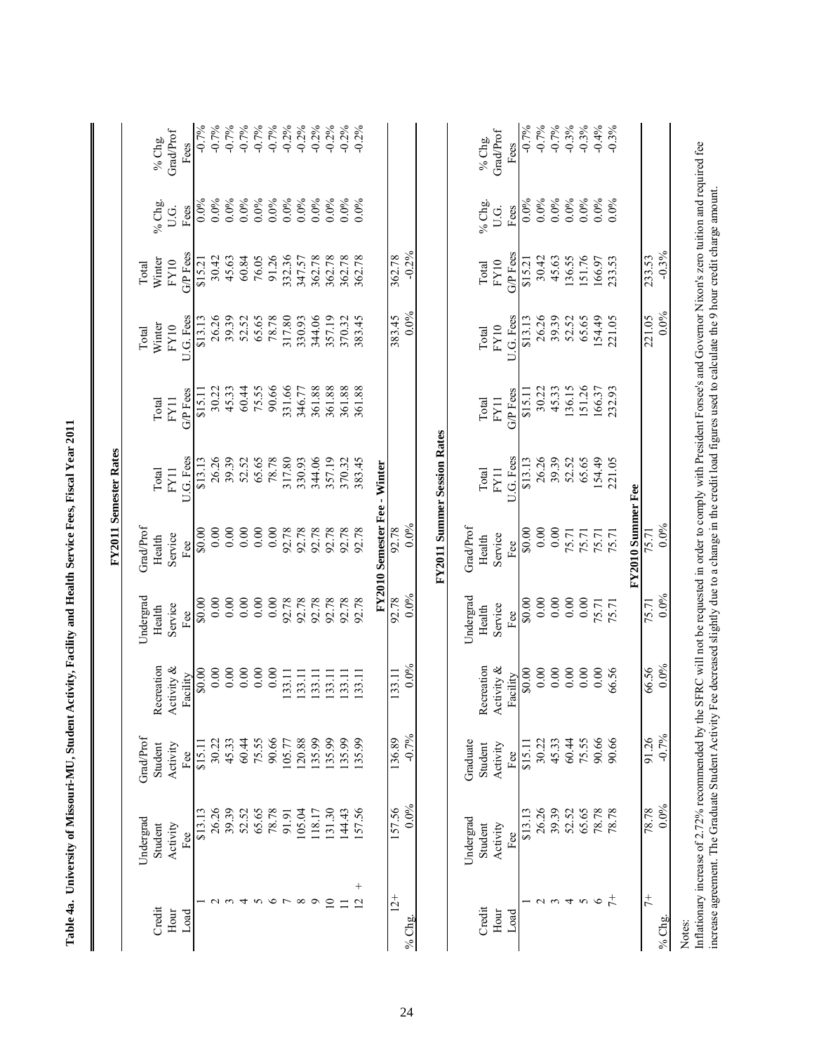|                                  |                                                                                                                                                                            |                                        |                                                                                                                                                                        |                                       |                                      | <b>FY2011 Semester Rates</b>       |                           |                                      |                                     |                        |                                    |
|----------------------------------|----------------------------------------------------------------------------------------------------------------------------------------------------------------------------|----------------------------------------|------------------------------------------------------------------------------------------------------------------------------------------------------------------------|---------------------------------------|--------------------------------------|------------------------------------|---------------------------|--------------------------------------|-------------------------------------|------------------------|------------------------------------|
| Credit<br>Hour<br>Load           | Undergrad<br>Student<br>Activity<br>Fee                                                                                                                                    | GradProf<br>Student<br>Activity<br>Fee | Recreation<br>Activity &<br>Facility                                                                                                                                   | Undergrad<br>Service<br>Health<br>Fee | GradProf<br>Service<br>Health<br>Fee | U.G. Fess<br>Total<br>FY11         | G/P Fees<br>Total<br>FY11 | U.G. Fess<br>Winter<br>FY10<br>Total | G/P Fees<br>Winter<br>FY10<br>Total | % Chg.<br>U.G.<br>Fees | <b>Grad/Prof</b><br>% Chg.<br>Fees |
|                                  | \$13.13                                                                                                                                                                    | \$15.11                                | \$0.00                                                                                                                                                                 | \$0.00                                | \$0.00                               | \$13.13                            | \$15.11                   | \$13.13                              | \$15.21                             | $0.0\%$                | $-0.7%$                            |
|                                  | 39.39<br>26.26                                                                                                                                                             | 30.22<br>45.33                         | 0.00<br>0.00                                                                                                                                                           | 0.00<br>0.00                          | 0.00<br>0.00                         | 26.26<br>39.39                     | 45.33<br>30.22            | 26.26<br>39.39                       | 30.42<br>45.63                      | $0.0\%$<br>$0.0\%$     | $-0.7%$<br>$-0.7%$                 |
| 4                                | 52.52                                                                                                                                                                      | 60.44                                  | 0.00                                                                                                                                                                   | 0.00                                  | 0.00                                 | 52.52                              | 60.44                     | 52.52                                | 60.84                               | $0.0\%$                |                                    |
|                                  | 65.65                                                                                                                                                                      | 75.55                                  | 0.00                                                                                                                                                                   | 0.00                                  | 0.00                                 | 65.65                              | 75.55                     | 65.65                                | 76.05                               | $0.0\%$                | $-0.7%$<br>$-0.7%$                 |
| $\circ$                          | 78.78                                                                                                                                                                      | 90.66                                  | 0.00                                                                                                                                                                   | 0.00                                  | 0.00                                 | 78.78                              | 90.66                     | 78.78                                | 91.26                               | $0.0\%$                | $-0.7%$                            |
| ${}^{\circ}$                     | 105.04<br>91.91                                                                                                                                                            | 120.88<br>105.77                       | 133.11<br>133.11                                                                                                                                                       | 92.78<br>92.78                        | 92.78<br>92.78                       | 317.80<br>330.93                   | 331.66<br>346.77          | 317.80<br>330.93                     | 332.36<br>347.57                    | $0.0\%$<br>0.0%        | $-0.2\%$<br>$-0.2%$                |
| Ó                                | 118.17                                                                                                                                                                     | 135.99                                 | 133.11                                                                                                                                                                 | 92.78                                 | 92.78                                | 344.06                             | 361.88                    | 344.06                               | 362.78                              | $0.0\%$                | $-0.2%$                            |
| $\Xi$                            | 131.30                                                                                                                                                                     | 135.99                                 | 133.11                                                                                                                                                                 | 92.78                                 | 92.78                                | 357.19                             | 361.88                    | 357.19                               | 362.78                              | 0.0%                   | $-0.2%$                            |
| $\equiv$                         | 144.43                                                                                                                                                                     | 135.99                                 | 133.11                                                                                                                                                                 | 92.78                                 | 92.78                                | 370.32                             | 361.88                    | 370.32                               | 362.78                              | $0.0\%$                | $-0.2%$                            |
| $\overline{+}$<br>$\overline{c}$ | 157.56                                                                                                                                                                     | 135.99                                 | 133.11                                                                                                                                                                 | 92.78                                 | 92.78                                | 383.45                             | 361.88                    | 383.45                               | 362.78                              | $0.0\%$                | $-0.2%$                            |
|                                  |                                                                                                                                                                            |                                        |                                                                                                                                                                        |                                       | FY2010 Semester Fee - Winter         |                                    |                           |                                      |                                     |                        |                                    |
| $12+$                            | 157.56                                                                                                                                                                     | 136.89                                 | 133.11                                                                                                                                                                 | 92.78                                 | 92.78                                |                                    |                           | 383.45                               | 362.78                              |                        |                                    |
| % $Chg$ .                        | 0.0%                                                                                                                                                                       | $-0.7%$                                | $0.0\%$                                                                                                                                                                | 0.0%                                  | $0.0\%$                              |                                    |                           | $0.0\%$                              | $-0.2\%$                            |                        |                                    |
|                                  |                                                                                                                                                                            |                                        |                                                                                                                                                                        |                                       |                                      | <b>FY2011 Summer Session Rates</b> |                           |                                      |                                     |                        |                                    |
|                                  | Undergrad                                                                                                                                                                  | Graduate                               |                                                                                                                                                                        | Undergrad                             | Grad/Prof                            |                                    |                           |                                      |                                     |                        |                                    |
| Credit                           | Student                                                                                                                                                                    | Student                                | Recreation                                                                                                                                                             | Health                                | Health                               | Total                              | Total                     | Total                                | Total                               | % Chg.                 | % Chg.                             |
| Hour<br>Load                     | Activity<br>$\rm{Fe}$                                                                                                                                                      | Activity<br>Fee                        | Activity &<br>Facility                                                                                                                                                 | Service<br>Fee                        | Service<br>Fee                       | U.G. Fess<br>FY11                  | G/P Fees<br>FY11          | U.G. Fess<br>FY10                    | G/P Fees<br>FY10                    | U.G.<br>Fees           | <b>Grad/Prof</b><br>Fees           |
|                                  | \$13.13                                                                                                                                                                    | \$15.11                                | \$0.00                                                                                                                                                                 | \$0.00                                | \$0.00                               | \$13.13                            | \$15.1                    | \$13.13                              | \$15.21                             | 0.0%                   | $-0.7%$                            |
| $\mathcal{L}$                    | 26.26                                                                                                                                                                      | 30.22                                  | 0.00                                                                                                                                                                   | 0.00                                  | 0.00                                 | 26.26                              | 30.22                     | 26.26                                | 30.42                               | $0.0\%$                | $-0.7%$                            |
| $\epsilon$                       | 39.39                                                                                                                                                                      | 45.33                                  | 0.00                                                                                                                                                                   | 0.00                                  | 0.00                                 | 39.39                              | 45.33                     | 39.39                                | 45.63                               | $0.0\%$                | $-0.7%$                            |
| 4                                | 52.52                                                                                                                                                                      | 60.44                                  | 0.00                                                                                                                                                                   | 0.00                                  | 75.71                                | 52.52                              | 136.15                    | 52.52                                | 136.55                              | $0.0\%$                | $-0.3%$                            |
| 5                                | 65.65                                                                                                                                                                      | 75.55                                  | 0.00                                                                                                                                                                   | 0.00                                  | 75.71                                | 65.65                              | 151.26                    | 65.65                                | 151.76                              | $0.0\%$                | $-0.3%$                            |
| $\ddagger$<br>$\bullet$          | 78.78<br>78.78                                                                                                                                                             | 90.66<br>90.66                         | 0.00<br>66.56                                                                                                                                                          | 75.71<br>75.71                        | 75.71<br>75.71                       | 154.49<br>221.05                   | 166.37<br>232.93          | 154.49<br>221.05                     | 166.97<br>233.53                    | $0.0\%$<br>$0.0\%$     | $-0.4%$<br>$-0.3\%$                |
|                                  |                                                                                                                                                                            |                                        |                                                                                                                                                                        |                                       | FY2010 Summer Fee                    |                                    |                           |                                      |                                     |                        |                                    |
| $\ddagger$                       | 78.78                                                                                                                                                                      | 91.26                                  | 66.56                                                                                                                                                                  | 75.71                                 | 75.71                                |                                    |                           | 221.05                               | 233.53                              |                        |                                    |
| % $Chg$ .                        | $0.0\%$                                                                                                                                                                    | $-0.7%$                                | 0.0%                                                                                                                                                                   | 0.0%                                  | $0.0\%$                              |                                    |                           | $0.0\%$                              | $-0.3%$                             |                        |                                    |
| Notes:                           | Inflationary increase of 2.72% recommended by the SFRC will not be requested in order to comply with President Forsee's and Governor Nixon's zero tuition and required fee |                                        | increase agreement. The Graduate Student Activity Fee decreased slightly due to a change in the credit load figures used to calculate the 9 hour credit charge amount. |                                       |                                      |                                    |                           |                                      |                                     |                        |                                    |

| i<br>I<br>I                 |
|-----------------------------|
|                             |
| $\frac{1}{2}$               |
|                             |
|                             |
| <b>C</b> - 1<br>1<br>1<br>1 |
|                             |
| i<br>I<br>ׇ֚֓֡              |
|                             |
|                             |
|                             |
| i<br>!                      |
| $\frac{1}{2}$               |
| j<br>;<br>;<br>i            |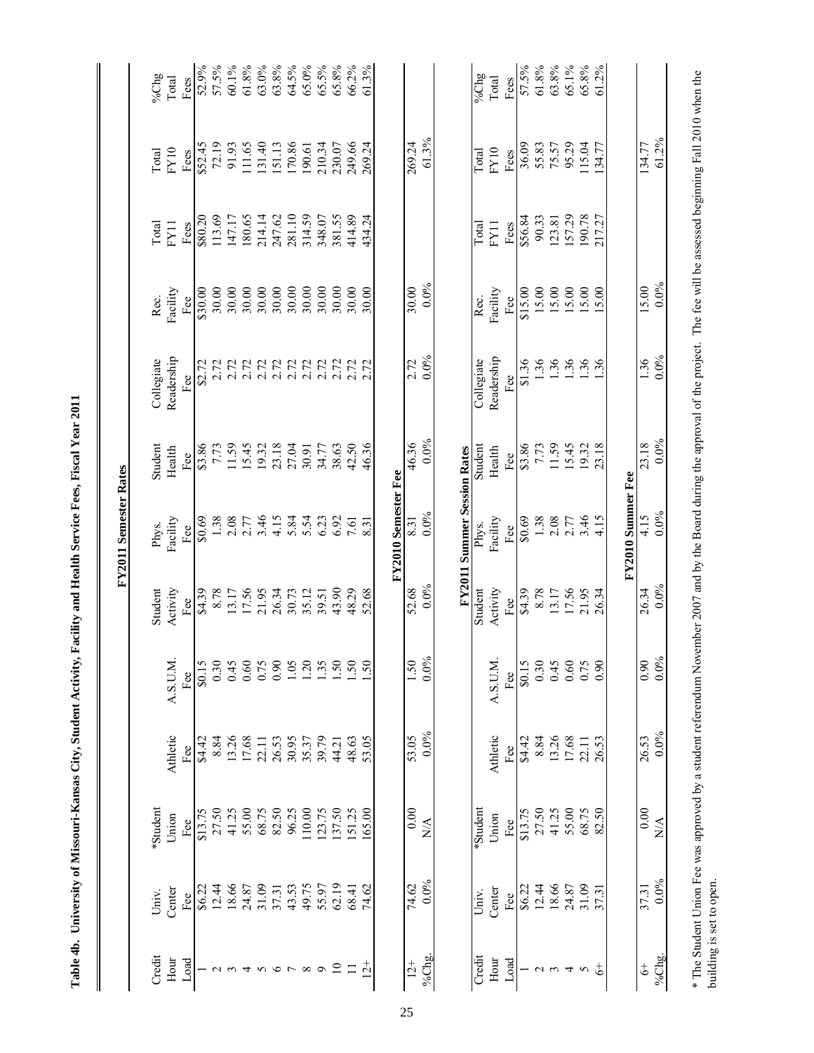| i<br>i         |
|----------------|
| I              |
|                |
|                |
|                |
| i              |
|                |
|                |
|                |
|                |
| $\overline{a}$ |
|                |
| ļ              |
| ر<br>بالا<br>ı |
|                |

| %Chg         | Total      | Fees        | 52.9%   | 57.5%             | 60.1%      | 61.8%  | 63.0%  | 63.8%   | 64.5%            | 65.0%              | 65.5%   | 65.8%           | 66.2%      | 61.3%     |                     |               |                  |                                    | $\frac{1}{2}$ | Total      | Fees | 57.5%   | $61.8\%$        | 63.8%      | 65.1%  | 65.8%  | 61.2%         |                   |                |                                 |
|--------------|------------|-------------|---------|-------------------|------------|--------|--------|---------|------------------|--------------------|---------|-----------------|------------|-----------|---------------------|---------------|------------------|------------------------------------|---------------|------------|------|---------|-----------------|------------|--------|--------|---------------|-------------------|----------------|---------------------------------|
| <b>Total</b> | FY10       | Fees        |         | \$52.45<br>72.19  | 91.93      | 111.65 | 131.40 | 151.13  | 170.86           | 190.61             | 210.34  | 230.07          | 249.66     | 269.24    |                     | 269.24        | 61.3%            |                                    | Total         | FY10       | Fees | 36.09   | 55.83           | 75.57      | 95.29  | 115.04 | 134.77        |                   | 134.77         | 61.2%                           |
| Total        | FY11       | Fees        | \$80.20 | 113.69            | 147.17     | 180.65 | 214.14 | 247.62  | 281.10           | 314.59             | 348.07  | 381.55          | 414.89     | 434.24    |                     |               |                  |                                    | Total         | FY11       | Fees | \$56.84 | 90.33           | 123.81     | 157.29 | 190.78 | 217.27        |                   |                |                                 |
| Rec.         | Facility   | Fee         | \$30.00 | 30.00             | 30.00      | 30.00  | 30.00  | 30.00   |                  | $30.00$<br>$30.00$ |         | 30.00           | 30.00      | 30.00     |                     | 30.00         | $0.0\%$          |                                    | Rec.          | Facility   | Fee  | \$15.00 | 15.00           | 15.00      | 15.00  | 15.00  | 15.00         |                   | 15.00          | $0.0\%$                         |
| Collegiate   | Readership | Рeе<br>Н    | \$2.72  | 2.72              | 2.72       | 2.72   | 2.72   | 2.72    | $2.72$<br>$2.72$ |                    | 2.72    | 2.72            | 2.72       |           |                     | 2.72          | $0.0\%$          |                                    | Collegiate    | Readership | Fee  | \$1.36  | 1.36            | 1.36       | 36     | 1.36   | 1.36          |                   | 1.36           | $0.0\%$                         |
| Student      | Health     | Fee         |         | \$3.86<br>7.73    | 11.59      | 15.45  | 19.32  | 23.18   | 27.04            | 30.91              | 34.77   | 38.63           | 42.50      | 46.36     |                     | 46.36         | $0.0\%$          |                                    | Student       | Health     | Fee  | \$3.86  | 7.73            | 11.59      | 15.45  | 19.32  | 23.18         |                   | 23.18          | $0.0\%$                         |
| Phys.        | Facility   | Fee         | \$0.69  | 1.38              | 2.08       | 2.77   | 3.46   | 4.15    |                  | 5.84<br>5.54       | 6.23    | 6.92            | 7.61       | 8.31      | FY2010 Semester Fee | 8.31          | $0.0\%$          | <b>FY2011 Summer Session Rates</b> | Phys.         | Facility   | Fee  | \$0.69  | 1.38            | 2.08       | 2.77   | 3.46   | 4.15          | FY2010 Summer Fee | 4.15           | $0.0\%$                         |
| Student      | Activity   | Fee         | \$4.39  | 8.78              | 13.17      | 17.56  | 21.95  | 26.34   | 30.73            | 35.12              | 39.51   | 43.90           | 48.29      | 52.68     |                     | 52.68         | 0.0%             |                                    | Student       | Activity   | Fee  | \$4.39  | 8.78            | 13.17      | 17.56  | 21.95  | 26.34         |                   | 26.34          | 0.0%                            |
|              | A.S.U.M.   | $_{\rm He}$ | \$0.15  | 0.30              | 0.45       | 0.60   | 0.75   | 0.90    | 1.05             | $\overline{20}$    | 1.35    | $\overline{50}$ | $\ddot{S}$ | 50        |                     | 1.50          | $0.0\%$          |                                    |               | A.S.U.M.   | Fee  | \$0.15  | 0.30            | 0.45       | 0.60   | 0.75   | 0.90          |                   | 0.90           | $0.0\%$                         |
|              | Athletic   | Fee         | \$4.42  | 8.84              | 13.26      | 17.68  | 22.11  | 26.53   | 30.95            | 35.37              | 39.79   | 44.21           | 48.63      | 53.05     |                     | 53.05         | 0.0%             |                                    |               | Athletic   | Fee  | \$4.42  | 8.84            | 13.26      |        | 22.11  | 26.53         |                   | 26.53          | $0.0\%$                         |
| 'Student     | Union      | Fee         | \$13.75 | 27.50             | 41.25      | 55.00  | 68.75  | 82.50   | 96.25            | 110.00             | 123.75  | 137.50          | 151.25     | 165.00    |                     | 0.00          | $\sum_{i=1}^{n}$ |                                    | *Student      | Union      | Fee  | \$13.75 | 27.50           | 41.25      | 55.00  | 68.75  | 82.50         |                   | 0.00           | $\stackrel{\triangle}{\approx}$ |
| Univ.        | Center     | Fee         | \$6.22  | 12.44             | 18.66      | 24.87  | 31.09  | 37.31   | 43.53            | 49.75              | 55.97   | 62.19           | 68.41      | 74.62     |                     | 74.62         | 0.0%             |                                    | Univ.         | Center     | Fee  | \$6.22  | 12.44           | 18.66      | 24.87  | 31.09  | 37.31         |                   | 37.31          | $0.0\%$                         |
| Credit       | Hour       | Load        |         | $\mathbf{\Omega}$ | $\epsilon$ | 4      | $\sim$ | $\circ$ |                  | $\infty$           | $\circ$ | $\overline{10}$ | $\equiv$   | $\vec{c}$ |                     | $\frac{1}{2}$ | %Chg.            |                                    | Credit        | Hour       | Load |         | $\mathbf{\sim}$ | $\epsilon$ | 4      | 5      | $\frac{4}{5}$ |                   | $\ddot{\circ}$ | % $Chg.$                        |

building is set to open.

building is set to open.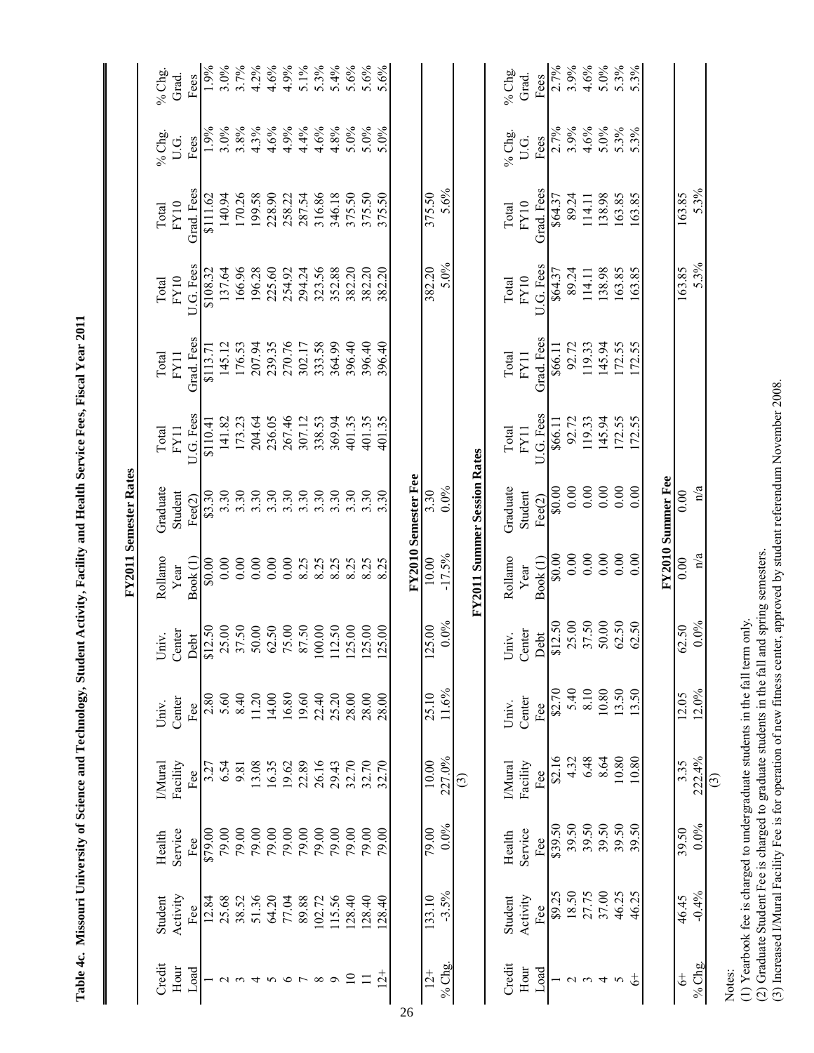|                                                                                                                               |                              |                   | % Chg.<br>Grad. | Fees             |
|-------------------------------------------------------------------------------------------------------------------------------|------------------------------|-------------------|-----------------|------------------|
|                                                                                                                               |                              | % $C$ hg.<br>U.G. |                 | Fees             |
|                                                                                                                               |                              | Total             | FY10            | Grad Fees        |
|                                                                                                                               |                              | Total             | FY10            | <b>IIG</b> Fees  |
| Table 4c. Missouri University of Science and Technology, Student Activity, Facility and Health Service Fees, Fiscal Year 2011 |                              | Total             | FY11            | Grad Fees        |
|                                                                                                                               |                              | Total             | FY11            | <b>UG</b> Fees   |
|                                                                                                                               | <b>FY2011 Semester Rates</b> | Graduate          | Student         | Fee(2)           |
|                                                                                                                               |                              | Rollamo           | Year            | Book(1)          |
|                                                                                                                               |                              | Univ.             | Center          | Deht             |
|                                                                                                                               |                              | Univ.             | Center          | Fee              |
|                                                                                                                               |                              | <b>IMural</b>     | Facility        | Fee              |
|                                                                                                                               |                              | Health            | Service         | Fee              |
|                                                                                                                               |                              | Student           | Activity        | Fee              |
|                                                                                                                               |                              | Credit            | Hour            | L <sub>oad</sub> |

| % $Chg.$<br>Grad.<br>Fees              | 3.0%<br>1.9%                                         | 3.7%               | 4.2%   | 4.6%               | $4.9%$<br>5.1% |        | $5.3\%$  | 5.4%    | 5.6%            | 5.6%                       | 5.6%           |  |                     |                      |                |   |                                    | $%$ Chg.        | Grad.        | Fees                                       | 2.7%                                        | 3.9%       |           |                | $4.6\%$<br>5.0%<br>5.3%                                | 5.3%               |                   |                |         |   |        |  |
|----------------------------------------|------------------------------------------------------|--------------------|--------|--------------------|----------------|--------|----------|---------|-----------------|----------------------------|----------------|--|---------------------|----------------------|----------------|---|------------------------------------|-----------------|--------------|--------------------------------------------|---------------------------------------------|------------|-----------|----------------|--------------------------------------------------------|--------------------|-------------------|----------------|---------|---|--------|--|
| % $C$ hg.<br>U.G.<br>Fees              | 1.9%                                                 | $3.0\%$<br>$3.8\%$ |        | $4.3\%$<br>$4.6\%$ | 4.9%           | 4.4%   | 4.6%     | 4.8%    | $5.0\%$         | $5.0\%$                    | 5.0%           |  |                     |                      |                |   |                                    | % $Chg.$        | U.G.         | Fees                                       | 2.7%                                        | 3.9%       |           |                | $4.6\%$<br>5.0%<br>5.3%                                | 5.3%               |                   |                |         |   |        |  |
| Grad. Fees<br>${\rm FY10}$<br>Total    | 140.94<br>\$111.62                                   | 170.26             | 199.58 | 228.90             | 258.22         | 287.54 | 316.86   | 346.18  | 375.50          | 375.50                     | 375.50         |  |                     |                      | 375.50<br>5.6% |   |                                    | Total           | ${\rm FY10}$ | Grad. Fees                                 | \$64.37                                     | 89.24      | 114.11    | 138.98         | 163.85                                                 | 163.85             |                   | 163.85         | $5.3\%$ |   |        |  |
| U.G. Fees<br>FY10<br>Total             | 137.64<br>\$108.32                                   | 166.96             | 196.28 | 225.60             | 254.92         | 294.24 | 323.56   | 352.88  | 382.20          | 382.20                     | 382.20         |  |                     | 382.20               | 5.0%           |   |                                    | Total           | ${\rm FY10}$ | U.G. Fees                                  | \$64.37                                     | 89.24      | 114.11    | 138.98         | 163.85                                                 | 163.85             |                   | 163.85         | 5.3%    |   |        |  |
| Grad. Fees<br>Total<br>FY11            | 145.12<br>\$113.71                                   | 176.53             | 207.94 | 239.35             | 270.76         | 302.17 | 333.58   | 364.99  | 396.40          | 396.40                     | 396.40         |  |                     |                      |                |   |                                    |                 | Total        | Grad. Fees<br>FY11                         |                                             | \$66.11    | 92.72     | 119.33         | 145.94                                                 | 172.55             | 172.55            |                |         |   |        |  |
| U.G. Fees<br>$\rm FY11$<br>Total       | 141.82<br>\$110.41                                   | 173.23             | 204.64 | 236.05             | 267.46         | 307.12 | 338.53   | 369.94  | 401.35          | 401.35                     | 401.35         |  |                     |                      |                |   |                                    |                 |              |                                            | Total                                       | $\rm FY11$ | U.G. Fees | \$66.11        | 92.72                                                  | 119.33             | 145.94            | 172.55         |         |   |        |  |
| Graduate<br>Student<br>Fee(2)          | $\begin{array}{c} 63.30 \\ 3.30 \\ 3.30 \end{array}$ |                    | 3.30   | 3.30               | 3.30           | 3.30   | 3.30     | 3.30    | 3.30            | 3.30                       | 3.30           |  | FY2010 Semester Fee | 3.30                 | $0.0\%$        |   | <b>FY2011 Summer Session Rates</b> | Graduate        | Student      | Fec(2)                                     | $\begin{array}{c} 0.00 \\ 0.00 \end{array}$ |            | $0.00\,$  | $0.00\,$       | $0.00\,$                                               | 0.00               | FY2010 Summer Fee | 0.00           | n/a     |   |        |  |
| Rollamo<br>Book <sup>(1)</sup><br>Year | 0.00<br>00.08                                        | 0.00               | 0.00   | 0.00               | 0.00           | 8.25   | 8.25     | 8.25    | 8.25            |                            | 8.25           |  |                     | 10.00                | $-17.5\%$      |   |                                    | Rollamo         | Year         | Book <sub>(1)</sub>                        | \$0.00                                      | 0.00       | $0.00\,$  | 0.00           | 0.00                                                   | 0.00               |                   | 0.00           | n/a     |   |        |  |
| Univ.<br>Center                        | Debt<br>\$12.50<br>37.50<br>37.50<br>50.00           |                    |        | 62.50<br>75.00     |                | 87.50  | $100.00$ | 112.50  |                 | 125.00<br>125.00           | 25.00<br>$\Xi$ |  |                     | 5.00<br>$\mathbf{z}$ | $0.0\%$        |   |                                    | Univ.<br>Center |              | Debt<br>\$12.50<br>37.50<br>37.50<br>50.00 |                                             |            |           |                |                                                        | $62.50$<br>$62.50$ |                   | 62.50          | 0.0%    |   |        |  |
| Center<br>Univ.<br>Fee                 | 5.60<br>2.80                                         | 8.40               | 11.20  | 14.00              | 16.80          | 19.60  | 22.40    | 25.20   | 28.00           | 28.00                      | 28.00          |  |                     |                      | 25.10<br>11.6% |   |                                    | Univ.           | Center       | Fee $\,$                                   | \$2.70                                      | 5.40       | 8.10      |                | $\begin{array}{c} 10.80 \\ 13.50 \\ 13.50 \end{array}$ |                    |                   | 12.05          | 12.0%   |   |        |  |
| Facility<br><b>I</b> Mural<br>Fee      | 6.54                                                 | 9.81               | 13.08  | 16.35              | 19.62<br>22.89 |        | 26.16    | 29.43   |                 | 32.70                      |                |  |                     | 10.00                | 227.0%         | ල |                                    | <b>IMural</b>   | Facility     | Fee                                        | \$2.16                                      | 4.32       | 6.48      | 8.64           | $\frac{10.80}{10.80}$                                  |                    |                   | 3.35           | 222.4%  | ල |        |  |
| Service<br>Health<br>Fee               | 79.00<br>\$79.00                                     | 79.00              | 79.00  | 79.00              | 79.00          | 79.00  | 79.00    | 79.00   | 79.00           | 79.00                      | 79.00          |  |                     | 79.00                | $0.0\%$        |   |                                    | Health          | Service      | Fee                                        | \$39.50                                     | 39.50      | 39.50     | 39.50          | 39.50                                                  | 39.50              |                   | 39.50          | $0.0\%$ |   |        |  |
| Activity<br>Student<br>Fee             | 25.68<br>12.84                                       | 38.52              | 51.36  | 64.20              | 77.04          | 89.88  | 102.72   | 115.56  |                 | 128.40<br>128.40<br>128.40 |                |  |                     | 133.10               | $-3.5%$        |   |                                    | Student         | Activity     | Fee $\overline{ }$                         | \$9.25                                      | 18.50      |           | 27.75<br>37.00 | 46.25                                                  | 46.25              |                   | 46.45          | $-0.4%$ |   |        |  |
| Credit<br>Hour<br>$_{\rm Load}$        |                                                      |                    |        |                    |                |        |          | $\circ$ | $\overline{10}$ | $\Box$                     | $12 +$         |  |                     | $12+$                | % Chg.         |   |                                    | Credit          | Hour         | $_{\rm Load}$                              |                                             | $\sim$     |           | ᠴ              | 5                                                      |                    |                   | $\ddot{\circ}$ | % Chg.  |   | Notes: |  |

Notes:<br>(1) Yearbook fee is charged to undergraduate students in the fall term only.<br>(2) Graduate Student Fee is charged to graduate students in the fall and spring semesters.<br>(3) Increased I/Mural Facility Fee is for opera (1) Yearbook fee is charged to undergraduate students in the fall term only. (2) Graduate Student Fee is charged to graduate students in the fall and spring semesters.

(3) Increased I/Mural Facility Fee is for operation of new fitness center, approved by student referendum November 2008.